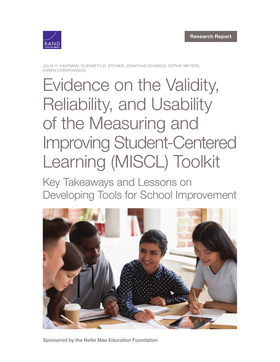

JULIA H. KAUFMAN, ELIZABETH D. STEINER, JONATHAN SCHWEIG, SOPHIE MEYERS, KAREN CHRISTIANSON

# Evidence on the Validity, Reliability, and Usability of the Measuring and [Improving Student-Centered](https://www.rand.org/pubs/research_reports/RR3235.html)  Learning (MISCL) Toolkit

Key Takeaways and Lessons on Developing Tools for School Improvement



Sponsored by the Nellie Mae Education Foundation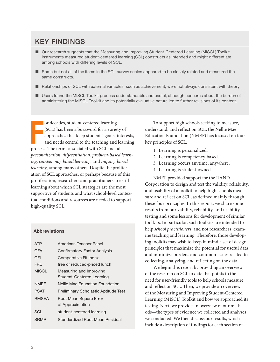### KEY FINDINGS

- Our research suggests that the Measuring and Improving Student-Centered Learning (MISCL) Toolkit instruments measured student-centered learning (SCL) constructs as intended and might differentiate among schools with differing levels of SCL.
- Some but not all of the items in the SCL survey scales appeared to be closely related and measured the same constructs.
- Relationships of SCL with external variables, such as achievement, were not always consistent with theory.
- Users found the MISCL Toolkit process understandable and useful, although concerns about the burden of administering the MISCL Toolkit and its potentially evaluative nature led to further revisions of its content.

or decades, student-centered learning<br>(SCL) has been a buzzword for a variety c<br>approaches that keep students' goals, inte<br>and needs central to the teaching and lea<br>process. The terms associated with SCL include or decades, student-centered learning (SCL) has been a buzzword for a variety of approaches that keep students' goals, interests, and needs central to the teaching and learning *personalization*, *differentiation*, *problem-based learning*, *competency-based learning*, and *inquiry-based learning*, among many others. Despite the proliferation of SCL approaches, or perhaps because of this proliferation, researchers and practitioners are still learning about which SCL strategies are the most supportive of students and what school-level contextual conditions and resources are needed to support high-quality SCL.

#### Abbreviations

| ATP          | American Teacher Panel                      |
|--------------|---------------------------------------------|
| CFA          | <b>Confirmatory Factor Analysis</b>         |
| CFI          | Comparative Fit Index                       |
| FRI          | free or reduced-priced lunch                |
| MISCI        | Measuring and Improving                     |
|              | Student-Centered Learning                   |
| <b>NMFF</b>  | Nellie Mae Education Foundation             |
| PSAT         | <b>Preliminary Scholastic Aptitude Test</b> |
| <b>RMSEA</b> | Root Mean Square Error                      |
|              | of Approximation                            |
| SCL.         | student-centered learning                   |
| SRMR         | Standardized Root Mean Residual             |

To support high schools seeking to measure, understand, and reflect on SCL, the Nellie Mae Education Foundation (NMEF) has focused on four key principles of SCL:

- 1. Learning is personalized.
- 2. Learning is competency-based.
- 3. Learning occurs anytime, anywhere.
- 4. Learning is student-owned.

NMEF provided support for the RAND Corporation to design and test the validity, reliability, and usability of a toolkit to help high schools measure and reflect on SCL, as defined mainly through these four principles. In this report, we share some results from our validity, reliability, and usability testing and some lessons for development of similar toolkits. In particular, such toolkits are intended to help *school practitioners*, and not researchers, examine teaching and learning. Therefore, those developing toolkits may wish to keep in mind a set of design principles that maximize the potential for useful data and minimize burdens and common issues related to collecting, analyzing, and reflecting on the data.

We begin this report by providing an overview of the research on SCL to date that points to the need for user-friendly tools to help schools measure and reflect on SCL. Then, we provide an overview of the Measuring and Improving Student-Centered Learning (MISCL) Toolkit and how we approached its testing. Next, we provide an overview of our methods—the types of evidence we collected and analyses we conducted. We then discuss our results, which include a description of findings for each section of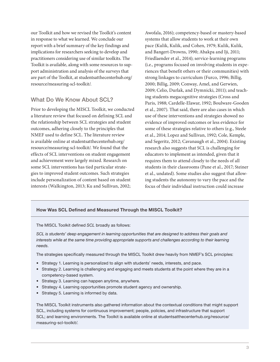our Toolkit and how we revised the Toolkit's content in response to what we learned. We conclude our report with a brief summary of the key findings and implications for researchers seeking to develop and practitioners considering use of similar toolkits. The Toolkit is available, along with some resources to support administration and analysis of the surveys that are part of the Toolkit, at [studentsatthecenterhub.org/](https://studentsatthecenterhub.org/resource/measuring-scl-toolkit/) [resource/measuring-scl-toolkit/.](https://studentsatthecenterhub.org/resource/measuring-scl-toolkit/)

#### What Do We Know About SCL?

Prior to developing the MISCL Toolkit, we conducted a literature review that focused on defining SCL and the relationship between SCL strategies and student outcomes, adhering closely to the principles that NMEF used to define SCL. The literature review is available online at [studentsatthecenterhub.org/](https://studentsatthecenterhub.org/resource/measuring-scl-toolkit/) [resource/measuring-scl-toolkit/.](https://studentsatthecenterhub.org/resource/measuring-scl-toolkit/) We found that the effects of SCL interventions on student engagement and achievement were largely mixed. Research on some SCL interventions has tied particular strategies to improved student outcomes. Such strategies include personalization of content based on student interests (Walkington, 2013; Ku and Sullivan, 2002;

Awofala, 2016); competency-based or mastery-based systems that allow students to work at their own pace (Kulik, Kulik, and Cohen, 1979; Kulik, Kulik, and Bangert-Drowns, 1990; Abakpa and Iji, 2011; Friedlaender et al., 2014); service-learning programs (i.e., programs focused on involving students in experiences that benefit others or their communities) with strong linkages to curriculum (Furco, 1996; Billig, 2000; Billig, 2009; Conway, Amel, and Gerwien, 2009; Celio, Durlak, and Dymnicki, 2011); and teaching students megacognitive strategies (Cross and Paris, 1988; Cardelle-Elawar, 1992; Boulware-Gooden et al., 2007). That said, there are also cases in which use of these interventions and strategies showed no evidence of improved outcomes or less evidence for some of these strategies relative to others (e.g., Steele et al., 2014; Lopez and Sullivan, 1992; Cole, Kemple, and Segeritz, 2012; Cavanaugh et al., 2004). Existing research also suggests that SCL is challenging for educators to implement as intended, given that it requires them to attend closely to the needs of all students in their classrooms (Pane et al., 2017; Steiner et al., undated). Some studies also suggest that allowing students the autonomy to vary the pace and the focus of their individual instruction could increase

#### How Was SCL Defined and Measured Through the MISCL Toolkit?

The MISCL Toolkit defined *SCL* broadly as follows:

*SCL is students' deep engagement in learning opportunities that are designed to address their goals and interests while at the same time providing appropriate supports and challenges according to their learning needs*.

The strategies specifically measured through the MISCL Toolkit drew heavily from NMEF's SCL principles:

- Strategy 1. Learning is personalized to align with students' needs, interests, and pace.
- Strategy 2. Learning is challenging and engaging and meets students at the point where they are in a competency-based system.
- Strategy 3. Learning can happen anytime, anywhere.
- Strategy 4. Learning opportunities promote student agency and ownership.
- Strategy 5. Learning is informed by data.

The MISCL Toolkit instruments also gathered information about the contextual conditions that might support SCL, including systems for continuous improvement; people, policies, and infrastructure that support SCL; and learning environments. The Toolkit is available online at [studentsatthecenterhub.org/resource/](https://studentsatthecenterhub.org/resource/measuring-scl-toolkit/) [measuring-scl-toolkit/.](https://studentsatthecenterhub.org/resource/measuring-scl-toolkit/)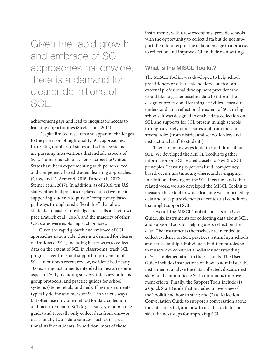Given the rapid growth and embrace of SCL approaches nationwide, there is a demand for clearer definitions of SCL.

achievement gaps and lead to inequitable access to learning opportunities (Steele et al., 2014).

Despite limited research and apparent challenges to the provision of high-quality SCL approaches, increasing numbers of states and school systems are pursuing interventions that include aspects of SCL. Numerous school systems across the United States have been experimenting with personalized and competency-based student learning approaches (Gross and DeArmond, 2018; Pane et al., 2017; Steiner et al., 2017). In addition, as of 2016, ten U.S. states either had policies or played an active role in supporting students to pursue "competency-based pathways through credit flexibility" that allow students to master knowledge and skills at their own pace (Patrick et al., 2016), and the majority of other U.S. states were exploring such policies.

Given the rapid growth and embrace of SCL approaches nationwide, there is a demand for clearer definitions of SCL, including better ways to collect data on the extent of SCL in classrooms, track SCL progress over time, and support improvement of SCL. In our own recent review, we identified nearly 100 existing instruments intended to measure some aspect of SCL, including surveys, interview or focus group protocols, and practice guides for school systems (Steiner et al., undated). These instruments typically define and measure SCL in various ways but often use only one method for data collection and measurement of SCL (e.g., a survey or a practice guide) and typically only collect data from one—or occasionally two—data sources, such as instructional staff or students. In addition, most of these

instruments, with a few exceptions, provide schools with the opportunity to collect data but do not support them to interpret the data or engage in a process to reflect on and improve SCL in their own settings.

#### What Is the MISCL Toolkit?

The MISCL Toolkit was developed to help school practitioners or other stakeholders—such as an external professional development provider who would like to gather baseline data to inform the design of professional learning activities—measure, understand, and reflect on the extent of SCL in high schools. It was designed to enable data collection on SCL and supports for SCL present in high schools through a variety of measures and from those in several roles (from district and school leaders and instructional staff to students).

There are many ways to define and think about SCL. We developed the MISCL Toolkit to gather information on SCL related closely to NMEF's SCL principles: Learning is personalized; competencybased; occurs anytime, anywhere; and is engaging. In addition, drawing on the SCL literature and other related work, we also developed the MISCL Toolkit to measure the extent to which learning was informed by data and to capture elements of contextual conditions that might support SCL.

Overall, the MISCL Toolkit consists of a User Guide, six instruments for collecting data about SCL, and Support Tools for helping users reflect on the data. The instruments themselves are intended to collect evidence on SCL practices within high schools and across multiple individuals in different roles so that users can construct a holistic understanding of SCL implementation in their schools. The User Guide includes instructions on how to administer the instruments, analyze the data collected, discuss next steps, and communicate SCL continuous improvement efforts. Finally, the Support Tools include (1) a Quick Start Guide that includes an overview of the Toolkit and how to start; and (2) a Reflection Conversation Guide to support a conversation about the data collected, and how to use that data to consider the next steps for improving SCL.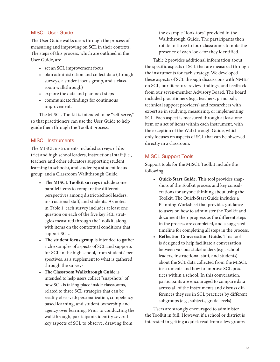#### MISCL User Guide

The User Guide walks users through the process of measuring and improving on SCL in their contexts. The steps of this process, which are outlined in the User Guide, are

- set an SCL improvement focus
- plan administration and collect data (through surveys, a student focus group, and a classroom walkthrough)
- explore the data and plan next steps
- communicate findings for continuous improvement.

The MISCL Toolkit is intended to be "self-serve," so that practitioners can use the User Guide to help guide them through the Toolkit process.

#### MISCL Instruments

The MISCL instruments included surveys of district and high school leaders, instructional staff (i.e., teachers and other educators supporting student learning in schools), and students; a student focus group; and a Classroom Walkthrough Guide.

- **• The MISCL Toolkit surveys** include some parallel items to compare the different perspectives among district/school leaders, instructional staff, and students. As noted in Table 1, each survey includes at least one question on each of the five key SCL strategies measured through the Toolkit, along with items on the contextual conditions that support SCL.
- **• The student focus group** is intended to gather rich examples of aspects of SCL and supports for SCL in the high school, from students' perspectives, as a supplement to what is gathered through the surveys.
- **• The Classroom Walkthrough Guide** is intended to help users collect "snapshots" of how SCL is taking place inside classrooms, related to three SCL strategies that can be readily observed: personalization, competencybased learning, and student ownership and agency over learning. Prior to conducting the walkthrough, participants identify several key aspects of SCL to observe, drawing from

the example "look-fors" provided in the Walkthrough Guide. The participants then rotate to three to four classrooms to note the presence of each look-for they identified.

Table 2 provides additional information about the specific aspects of SCL that are measured through the instruments for each strategy. We developed these aspects of SCL through discussions with NMEF on SCL, our literature review findings, and feedback from our seven-member Advisory Board. The board included practitioners (e.g., teachers, principals, technical support providers) and researchers with expertise in studying, measuring, or implementing SCL. Each aspect is measured through at least one item or a set of items within each instrument, with the exception of the Walkthrough Guide, which only focuses on aspects of SCL that can be observed directly in a classroom.

#### MISCL Support Tools

Support tools for the MISCL Toolkit include the following:

- **Quick-Start Guide.** This tool provides snapshots of the Toolkit process and key considerations for anyone thinking about using the Toolkit. The Quick-Start Guide includes a Planning Worksheet that provides guidance to users on how to administer the Toolkit and document their progress as the different steps in the process are completed, and a suggested timeline for completing all steps in the process.
- **Reflection Conversation Guide.** This tool is designed to help facilitate a conversation between various stakeholders (e.g., school leaders, instructional staff, and students) about the SCL data collected from the MISCL instruments and how to improve SCL practices within a school. In this conversation, participants are encouraged to compare data across all of the instruments and discuss differences they see in SCL practices by different subgroups (e.g., subjects, grade levels).

Users are strongly encouraged to administer the Toolkit in full. However, if a school or district is interested in getting a quick read from a few groups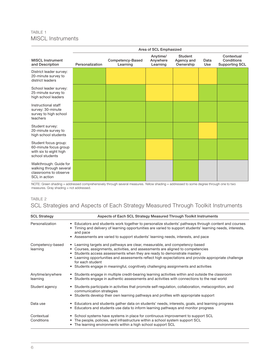#### TABLE 1 MISCL Instruments

|                                                                                             | Area of SCL Emphasized |                              |                                  |                                           |             |                                                   |
|---------------------------------------------------------------------------------------------|------------------------|------------------------------|----------------------------------|-------------------------------------------|-------------|---------------------------------------------------|
| <b>MISCL Instrument</b><br>and Description                                                  | Personalization        | Competency-Based<br>Learning | Anytime/<br>Anywhere<br>Learning | <b>Student</b><br>Agency and<br>Ownership | Data<br>Use | Contextual<br>Conditions<br><b>Supporting SCL</b> |
| District leader survey:<br>20-minute survey to<br>district leaders                          |                        |                              |                                  |                                           |             |                                                   |
| School leader survey:<br>25-minute survey to<br>high school leaders                         |                        |                              |                                  |                                           |             |                                                   |
| Instructional staff<br>survey: 30-minute<br>survey to high school<br>teachers               |                        |                              |                                  |                                           |             |                                                   |
| Student survey:<br>20-minute survey to<br>high school students                              |                        |                              |                                  |                                           |             |                                                   |
| Student focus group:<br>60-minute focus group<br>with six to eight high<br>school students  |                        |                              |                                  |                                           |             |                                                   |
| Walkthrough: Guide for<br>walking through several<br>classrooms to observe<br>SCL in action |                        |                              |                                  |                                           |             |                                                   |

NOTE: Green shading = addressed comprehensively through several measures. Yellow shading = addressed to some degree through one to two measures. Gray shading = not addressed.

#### TABLE 2

#### SCL Strategies and Aspects of Each Strategy Measured Through Toolkit Instruments

| <b>SCL Strategy</b>          | Aspects of Each SCL Strategy Measured Through Toolkit Instruments                                                                                                                                                                                                                                                                                                                                                                                             |
|------------------------------|---------------------------------------------------------------------------------------------------------------------------------------------------------------------------------------------------------------------------------------------------------------------------------------------------------------------------------------------------------------------------------------------------------------------------------------------------------------|
| Personalization              | • Educators and students work together to personalize students' pathways through content and courses<br>Timing and delivery of learning opportunities are varied to support students' learning needs, interests,<br>and pace<br>• Assessments are varied to support students' learning needs, interests, and pace                                                                                                                                             |
| Competency-based<br>learning | • Learning targets and pathways are clear, measurable, and competency-based<br>• Courses, assignments, activities, and assessments are aligned to competencies<br>• Students access assessments when they are ready to demonstrate mastery<br>• Learning opportunities and assessments reflect high expectations and provide appropriate challenge<br>for each student<br>• Students engage in meaningful, cognitively challenging assignments and activities |
| Anytime/anywhere<br>learning | • Students engage in multiple credit-bearing learning activities within and outside the classroom<br>• Students engage in authentic assessments and activities with connections to the real world                                                                                                                                                                                                                                                             |
| Student agency               | • Students participate in activities that promote self-regulation, collaboration, metacognition, and<br>communication strategies<br>• Students develop their own learning pathways and profiles with appropriate support                                                                                                                                                                                                                                      |
| Data use                     | • Educators and students gather data on students' needs, interests, goals, and learning progress<br>• Educators and students use data to inform learning pathways and monitor progress                                                                                                                                                                                                                                                                        |
| Contextual<br>Conditions     | • School systems have systems in place for continuous improvement to support SCL<br>The people, policies, and infrastructure within a school system support SCL<br>• The learning environments within a high school support SCL                                                                                                                                                                                                                               |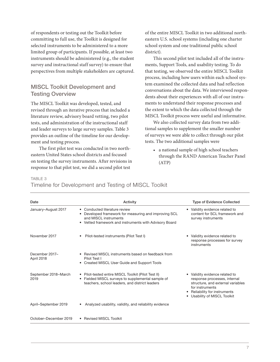of respondents or testing out the Toolkit before committing to full use, the Toolkit is designed for selected instruments to be administered to a more limited group of participants. If possible, at least two instruments should be administered (e.g., the student survey and instructional staff survey) to ensure that perspectives from multiple stakeholders are captured.

#### MISCL Toolkit Development and Testing Overview

The MISCL Toolkit was developed, tested, and revised through an iterative process that included a literature review, advisory board vetting, two pilot tests, and administration of the instructional staff and leader surveys to large survey samples. Table 3 provides an outline of the timeline for our development and testing process.

The first pilot test was conducted in two northeastern United States school districts and focused on testing the survey instruments. After revisions in response to that pilot test, we did a second pilot test

of the entire MISCL Toolkit in two additional northeastern U.S. school systems (including one charter school system and one traditional public school district).

This second pilot test included all of the instruments, Support Tools, and usability testing. To do that testing, we observed the entire MISCL Toolkit process, including how users within each school system examined the collected data and had reflection conversations about the data. We interviewed respondents about their experiences with all of our instruments to understand their response processes and the extent to which the data collected through the MISCL Toolkit process were useful and informative.

We also collected survey data from two additional samples to supplement the smaller number of surveys we were able to collect through our pilot tests. The two additional samples were

• a national sample of high school teachers through the RAND American Teacher Panel (ATP)

#### TABLE 3

#### Timeline for Development and Testing of MISCL Toolkit

| Date                         | Activity                                                                                                                                                              | <b>Type of Evidence Collected</b>                                                                                                                                                   |
|------------------------------|-----------------------------------------------------------------------------------------------------------------------------------------------------------------------|-------------------------------------------------------------------------------------------------------------------------------------------------------------------------------------|
| January-August 2017          | • Conducted literature review<br>Developed framework for measuring and improving SCL<br>and MISCL instruments<br>Vetted framework and instruments with Advisory Board | Validity evidence related to<br>content for SCL framework and<br>survey instruments                                                                                                 |
| November 2017                | Pilot-tested instruments (Pilot Test I)                                                                                                                               | Validity evidence related to<br>response processes for survey<br>instruments                                                                                                        |
| December 2017-<br>April 2018 | • Revised MISCL instruments based on feedback from<br>Pilot Test I<br>• Created MISCL User Guide and Support Tools                                                    |                                                                                                                                                                                     |
| September 2018–March<br>2019 | • Pilot-tested entire MISCL Toolkit (Pilot Test II)<br>Fielded MISCL surveys to supplemental sample of<br>$\bullet$<br>teachers, school leaders, and district leaders | • Validity evidence related to<br>response processes, internal<br>structure, and external variables<br>for instruments<br>Reliability for instruments<br>Usability of MISCL Toolkit |
| April-September 2019         | Analyzed usability, validity, and reliability evidence                                                                                                                |                                                                                                                                                                                     |
| October-December 2019        | • Revised MISCL Toolkit                                                                                                                                               |                                                                                                                                                                                     |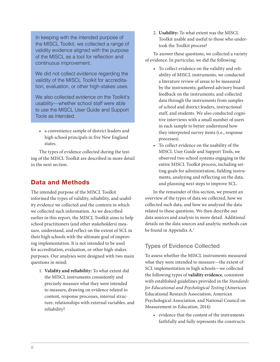In keeping with the intended purpose of the MISCL Toolkit, we collected a range of validity evidence aligned with the purpose of the MISCL as a tool for reflection and continuous improvement.

We did not collect evidence regarding the validity of the MISCL Toolkit for accreditation, evaluation, or other high-stakes uses.

We also collected evidence on the Toolkit's usability—whether school staff were able to use the MISCL User Guide and Support Tools as intended.

• a convenience sample of district leaders and high school principals in five New England states.

The types of evidence collected during the testing of the MISCL Toolkit are described in more detail in the next section.

#### Data and Methods

The intended purpose of the MISCL Toolkit informed the types of validity, reliability, and usability evidence we collected and the contexts in which we collected such information. As we described earlier in this report, the MISCL Toolkit aims to help school practitioners (and other stakeholders) measure, understand, and reflect on the extent of SCL in their high schools with the ultimate goal of improving implementation. It is not intended to be used for accreditation, evaluation, or other high-stakes purposes. Our analyses were designed with two main questions in mind:

1. **Validity and reliability:** To what extent did the MISCL instruments consistently and precisely measure what they were intended to measure, drawing on evidence related to content, response processes, internal structure, relationships with external variables, and reliability?

2. **Usability:** To what extent was the MISCL Toolkit usable and useful to those who undertook the Toolkit process?

To answer these questions, we collected a variety of evidence. In particular, we did the following:

- To collect evidence on the validity and reliability of MISCL instruments, we conducted a literature review of areas to be measured by the instruments; gathered advisory board feedback on the instruments; and collected data through the instruments from samples of school and district leaders, instructional staff, and students. We also conducted cognitive interviews with a small number of users in each sample to better understand how they interpreted survey items (i.e., response processes).
- To collect evidence on the usability of the MISCL User Guide and Support Tools, we observed two school systems engaging in the entire MISCL Toolkit process, including setting goals for administration, fielding instruments, analyzing and reflecting on the data, and planning next steps to improve SCL.

In the remainder of this section, we present an overview of the types of data we collected, how we collected such data, and how we analyzed the data related to these questions. We then describe our data sources and analysis in more detail. Additional details on the data sources and analytic methods can be found in Appendix A.<sup>1</sup>

#### Types of Evidence Collected

To assess whether the MISCL instruments measured what they were intended to measure—the extent of SCL implementation in high schools—we collected the following types of **validity evidence**, consistent with established guidelines provided in the *Standards for Educational and Psychological Testing* (American Educational Research Association, American Psychological Association, and National Council on Measurement in Education, 2014):

• evidence that the content of the instruments faithfully and fully represents the constructs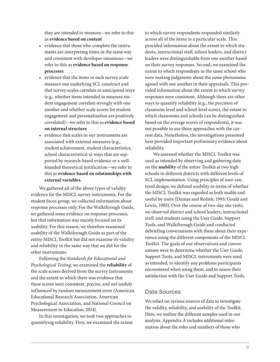they are intended to measure—we refer to this as **evidence based on content**

- evidence that those who complete the instruments are interpreting items in the same way and consistent with developer intentions—we refer to this as **evidence based on response processes**
- evidence that the items in each survey scale measure one underlying SCL construct and that survey scales correlate in anticipated ways (e.g., whether items intended to measure student engagement correlate strongly with one another and whether scale scores for student engagement and personalization are positively correlated)—we refer to this as **evidence based on internal structure**
- evidence that scales in our instruments are associated with external measures (e.g., student achievement, student characteristics, school characteristics) in ways that are supported by research-based evidence or a wellfounded theoretical justification—we refer to this as **evidence based on relationships with external variables.**

We gathered all of the above types of validity evidence for the MISCL survey instruments. For the student focus group, we collected information about response processes only. For the Walkthrough Guide, we gathered some evidence on response processes, but that information was mainly focused on its usability. For this reason, we therefore examined usability of the Walkthrough Guide as part of the entire MISCL Toolkit but did not examine its validity and reliability in the same way that we did for the other instruments.

Following the *Standards for Educational and Psychological Testing*, we examined the **reliability** of the scale scores derived from the survey instruments and the extent to which there was evidence that these scores were consistent, precise, and not unduly influenced by random measurement error (American Educational Research Association, American Psychological Association, and National Council on Measurement in Education, 2014).

In this investigation, we took two approaches to quantifying reliability. First, we examined the extent

to which survey respondents responded similarly across all of the items in a particular scale. This provided information about the extent to which students, instructional staff, school leaders, and district leaders were distinguishable from one another based on their survey responses. Second, we examined the extent to which respondents in the same school who were making judgments about the same phenomena agreed with one another in their appraisals. This provided information about the extent to which survey responses were consistent. Although there are other ways to quantify reliability (e.g., the precision of classroom-level and school-level scores, the extent to which classrooms and schools can be distinguished based on the average scores of respondents), it was not possible to use those approaches with the current data. Nonetheless, the investigations presented here provided important preliminary evidence about reliability.

We assessed whether the MISCL Toolkit was used as intended by observing and gathering data on the **usability** of the entire Toolkit at two high schools in different districts with different levels of SCL implementation. Using principles of user-centered design, we defined *usability* in terms of whether the MISCL Toolkit was regarded as both usable and useful by users (Dumas and Redish, 1993; Gould and Lewis, 1985). Over the course of two-day site visits, we observed district and school leaders, instructional staff, and students using the User Guide, Support Tools, and Walkthrough Guide and conducted debriefing conversations with them about their experience using the different components of the MISCL Toolkit. The goals of our observations and conversations were to determine whether the User Guide, Support Tools, and MISCL instruments were used as intended, to identify any problems participants encountered when using them, and to assess their satisfaction with the User Guide and Support Tools.

#### Data Sources

We relied on various sources of data to investigate the validity, reliability, and usability of the Toolkit. Here, we outline the different samples used in our analysis. Appendix A includes additional information about the roles and numbers of those who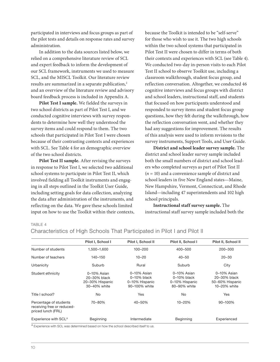participated in interviews and focus groups as part of the pilot tests and details on response rates and survey administration.

In addition to the data sources listed below, we relied on a comprehensive literature review of SCL and expert feedback to inform the development of our SCL framework, instruments we used to measure SCL, and the MISCL Toolkit. Our literature review results are summarized in a separate publication,<sup>2</sup> and an overview of the literature review and advisory board feedback process is included in Appendix A.

**Pilot Test I sample.** We fielded the surveys in two school districts as part of Pilot Test I, and we conducted cognitive interviews with survey respondents to determine how well they understood the survey items and could respond to them. The two schools that participated in Pilot Test I were chosen because of their contrasting contexts and experiences with SCL. See Table 4 for an demographic overview of the two school districts.

**Pilot Test II sample.** After revising the surveys in response to Pilot Test I, we selected two additional school systems to participate in Pilot Test II, which involved fielding all Toolkit instruments and engaging in all steps outlined in the Toolkit User Guide, including setting goals for data collection, analyzing the data after administration of the instruments, and reflecting on the data. We gave these schools limited input on how to use the Toolkit within their contexts,

because the Toolkit is intended to be "self-serve" for those who wish to use it. The two high schools within the two school systems that participated in Pilot Test II were chosen to differ in terms of both their contexts and experiences with SCL (see Table 4). We conducted two-day in-person visits to each Pilot Test II school to observe Toolkit use, including a classroom walkthrough, student focus group, and reflection conversation. Altogether, we conducted 46 cognitive interviews and focus groups with district and school leaders, instructional staff, and students that focused on how participants understood and responded to survey items and student focus group questions, how they felt during the walkthrough, how the reflection conversation went, and whether they had any suggestions for improvement. The results of this analysis were used to inform revisions to the survey instruments, Support Tools, and User Guide.

**District and school leader survey sample.** The district and school leader survey sample included both the small numbers of district and school leaders who completed surveys as part of Pilot Test II (*n* = 10) and a convenience sample of district and school leaders in five New England states—Maine, New Hampshire, Vermont, Connecticut, and Rhode Island—including 47 superintendents and 102 high school principals.

**Instructional staff survey sample.** The instructional staff survey sample included both the

TABLE 4

|                                                                            | Pilot I, School I                                              | Pilot I, School II                                               | Pilot II, School I                                              | Pilot II, School II                                            |
|----------------------------------------------------------------------------|----------------------------------------------------------------|------------------------------------------------------------------|-----------------------------------------------------------------|----------------------------------------------------------------|
| Number of students                                                         | 1,500-1,600                                                    | $100 - 200$                                                      | 400-500                                                         | $200 - 300$                                                    |
| Number of teachers                                                         | $140 - 150$                                                    | $10 - 20$                                                        | $40 - 50$                                                       | $20 - 30$                                                      |
| Urbanicity                                                                 | Suburb                                                         | Rural                                                            | Suburb                                                          | City                                                           |
| Student ethnicity                                                          | 0-10% Asian<br>20-30% black<br>20-30% Hispanic<br>30-40% white | 0-10% Asian<br>$0-10\%$ black<br>0-10% Hispanic<br>90-100% white | 0-10% Asian<br>$0-10\%$ black<br>0-10% Hispanic<br>80-90% white | 0-10% Asian<br>20-30% black<br>50-60% Hispanic<br>10-20% white |
| Title I school?                                                            | No                                                             | Yes                                                              | No                                                              | Yes                                                            |
| Percentage of students<br>receiving free or reduced-<br>priced lunch (FRL) | 70-80%                                                         | $40 - 50%$                                                       | $10 - 20%$                                                      | 90-100%                                                        |
| Experience with SCL <sup>a</sup>                                           | Beginning                                                      | Intermediate                                                     | <b>Beginning</b>                                                | Experienced                                                    |

#### Characteristics of High Schools That Participated in Pilot I and Pilot II

<sup>a</sup> Experience with SCL was determined based on how the school described itself to us.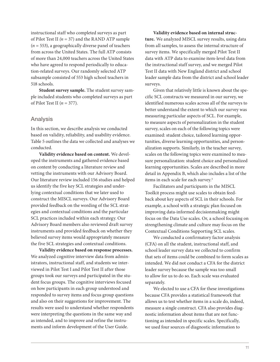instructional staff who completed surveys as part of Pilot Test II *(n* = 37) and the RAND ATP sample (*n* = 553), a geographically diverse panel of teachers from across the United States. The full ATP consists of more than 24,000 teachers across the United States who have agreed to respond periodically to education-related surveys. Our randomly selected ATP subsample consisted of 553 high school teachers in 518 schools.

**Student survey sample.** The student survey sample included students who completed surveys as part of Pilot Test II (*n* = 377).

#### Analysis

In this section, we describe analysis we conducted based on validity, reliability, and usability evidence. Table 5 outlines the data we collected and analyses we conducted.

**Validity evidence based on content.** We developed the instruments and gathered evidence based on content by conducting a literature review and vetting the instruments with our Advisory Board. Our literature review included 156 studies and helped us identify the five key SCL strategies and underlying contextual conditions that we later used to construct the MISCL surveys. Our Advisory Board provided feedback on the wording of the SCL strategies and contextual conditions and the particular SCL practices included within each strategy. Our Advisory Board members also reviewed draft survey instruments and provided feedback on whether they believed survey items would appropriately measure the five SCL strategies and contextual conditions.

**Validity evidence based on response processes.**  We analyzed cognitive interview data from administrators, instructional staff, and students we interviewed in Pilot Test I and Pilot Test II after those groups took our surveys and participated in the student focus groups. The cognitive interviews focused on how participants in each group understood and responded to survey items and focus group questions and also on their suggestions for improvement. The results were used to understand whether respondents were interpreting the questions in the same way and as intended, and to improve and refine the instruments and inform development of the User Guide.

**Validity evidence based on internal structure***.* We analyzed MISCL survey results, using data from all samples, to assess the internal structure of survey items. We specifically merged Pilot Test II data with ATP data to examine item-level data from the instructional staff survey, and we merged Pilot Test II data with New England district and school leader sample data from the district and school leader surveys.

Given that relatively little is known about the specific SCL constructs we measured in our survey, we identified numerous scales across all of the surveys to better understand the extent to which our survey was measuring particular aspects of SCL. For example, to measure aspects of personalization in the student survey, scales on each of the following topics were examined: student choice, tailored learning opportunities, diverse learning opportunities, and personalization supports. Similarly, in the teacher survey, scales on the following topics were examined to measure personalization: student choice and personalized learning opportunities. Scales are described in more detail in Appendix B, which also includes a list of the items in each scale for each survey.<sup>3</sup>

Facilitators and participants in the MISCL Toolkit process might use scales to obtain feedback about key aspects of SCL in their schools. For example, a school with a strategic plan focused on improving data-informed decisionmaking might focus on the Data Use scales. Or, a school focusing on strengthening climate and culture may focus on the Contextual Conditions Supporting SCL scales.

We conducted a confirmatory factor analysis (CFA) on all the student, instructional staff, and school leader survey data we collected to confirm that sets of items could be combined to form scales as intended. We did not conduct a CFA for the district leader survey because the sample was too small to allow for us to do so. Each scale was evaluated separately.

We elected to use a CFA for these investigations because CFA provides a statistical framework that allows us to test whether items in a scale do, indeed, measure a single construct. CFA also provides diagnostic information about items that are not functioning as intended in specific scales. Specifically, we used four sources of diagnostic information to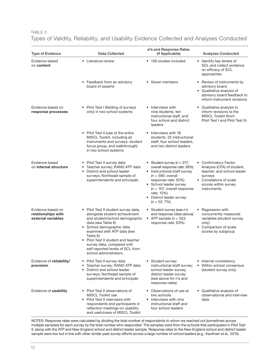#### TABLE 5 Types of Validity, Reliability, and Usability Evidence Collected and Analyses Conducted

| <b>Type of Evidence</b>                                       | <b>Data Collected</b>                                                                                                                                                                                                                                                                                                                 | n's and Response Rates<br>(if Applicable)                                                                                                                                                                                                                          | <b>Analyses Conducted</b>                                                                                                                                      |
|---------------------------------------------------------------|---------------------------------------------------------------------------------------------------------------------------------------------------------------------------------------------------------------------------------------------------------------------------------------------------------------------------------------|--------------------------------------------------------------------------------------------------------------------------------------------------------------------------------------------------------------------------------------------------------------------|----------------------------------------------------------------------------------------------------------------------------------------------------------------|
| Evidence based<br>on content                                  | • Literature review                                                                                                                                                                                                                                                                                                                   | • 156 studies included                                                                                                                                                                                                                                             | • Identify key tenets of<br>SCL and collect evidence<br>on efficacy of SCL<br>approaches                                                                       |
|                                                               | • Feedback from an advisory<br>board of experts                                                                                                                                                                                                                                                                                       | • Seven members                                                                                                                                                                                                                                                    | • Review of instruments by<br>advisory board<br>• Qualitative analysis of<br>advisory board feedback to<br>inform instrument revisions                         |
| Evidence based on<br>response processes                       | • Pilot Test I (fielding of surveys<br>only) in two school systems                                                                                                                                                                                                                                                                    | Interviews with<br>nine students, ten<br>instructional staff, and<br>four school and district<br>leaders                                                                                                                                                           | • Qualitative analysis to<br>inform revisions to the<br>MISCL Toolkit (from<br>Pilot Test I and Pilot Test II)                                                 |
|                                                               | • Pilot Test II (use of the entire<br>MISCL Toolkit, including all<br>instruments and surveys, student<br>focus group, and walkthrough)<br>in two school systems                                                                                                                                                                      | Interviews with 18<br>students, 22 instructional<br>staff, four school leaders,<br>and two district leaders                                                                                                                                                        |                                                                                                                                                                |
| Evidence based<br>on internal structure                       | Pilot Test II survey data<br>Teacher survey; RAND ATP data<br>$\bullet$<br>District and school leader<br>surveys; Northeast sample of<br>superintendents and principals                                                                                                                                                               | • Student survey ( $n = 377$ ;<br>overall response rate: 58%)<br>• Instructional staff survey<br>$(n = 590;$ overall<br>response rate: 52%)<br>• School leader survey<br>$(n = 107;$ overall response<br>rate: 12%)<br>• District leader survey<br>$(n = 52; 7\%)$ | • Confirmatory Factor<br>Analysis (CFA) of student,<br>teacher, and school leader<br>surveys<br>• Correlations of scale<br>scores within survey<br>instruments |
| Evidence based on<br>relationships with<br>external variables | • Pilot Test II student survey data,<br>alongside student achievement<br>and student/school demographic<br>data (see Table 6)<br>· School demographic data<br>examined with ATP data (see<br>Table 6)<br>Pilot Test II student and teacher<br>survey data, compared with<br>self-reported levels of SCL from<br>school administrators | • Student survey (see n's<br>and response rates above)<br>• ATP sample $(n = 553,$<br>response rate: 63%)                                                                                                                                                          | • Regression with<br>concurrently measured<br>variables (student survey<br>only)<br>• Comparison of scale<br>scores by subgroup                                |
| Evidence of reliability/<br>precision                         | Pilot Test II survey data<br>Teacher survey; RAND ATP data<br>$\bullet$<br>District and school leader<br>$\bullet$<br>surveys; Northeast sample of<br>superintendents and principals                                                                                                                                                  | Student survey;<br>٠<br>instructional staff survey;<br>school leader survey;<br>district leader survey<br>(see above for n's and<br>response rates)                                                                                                                | • Internal consistency<br>Within-school consensus<br>$\bullet$<br>(student survey only)                                                                        |
| Evidence of usability                                         | • Pilot Test II observations of<br>MISCL Toolkit use<br>Pilot Test II interviews with<br>respondents and participants in<br>reflection meetings on usability<br>and usefulness of MISCL Toolkit                                                                                                                                       | • Observations of use at<br>two schools<br>Interviews with nine<br>instructional staff and<br>four school leaders                                                                                                                                                  | Qualitative analysis of<br>$\bullet$<br>observational and interview<br>data                                                                                    |

NOTES: Response rates were calculated by dividing the total number of respondents to whom we reached out (sometimes across multiple samples) for each survey by the total number who responded. The samples were from the schools that participated in Pilot Test II, along with the ATP and New England school and district leader sample. Response rates to the New England school and district leader sample were low but in line with other similar past survey efforts across a large number of school leaders (e.g., Kaufman et al., 2015).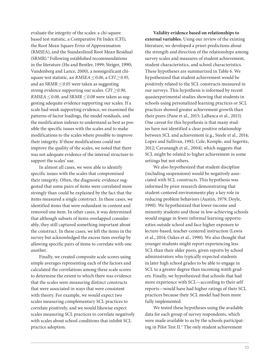evaluate the integrity of the scales: a chi-square based test statistic, a Comparative Fit Index (CFI), the Root Mean Square Error of Approximation (RMSEA), and the Standardized Root Mean Residual (SRMR).4 Following established recommendations in the literature (Hu and Bentler, 1999; Steiger, 1990; Vandenberg and Lance, 2000), a nonsignificant chisquare test statistic, an *RMSEA≤ 0.06*, a *CFI≥ 0.95,*  and an SRMR*≤ 0.05* were taken as suggesting strong evidence supporting our scales. *CFI≥ 0.90*, *RMSEA≤ 0.08,* and SRMR*≤ 0.08* were taken as suggesting adequate evidence supporting our scales. If a scale had weak supporting evidence, we examined the patterns of factor loadings, the model residuals, and the modification indexes to understand as best as possible the specific issues with the scales and to make modifications to the scales where possible to improve their integrity. If these modifications could not improve the quality of the scales, we noted that there was not adequate evidence of the internal structure to support the scales' use.

In almost all cases, we were able to identify specific issues with the scales that compromised their integrity. Often, the diagnostic evidence suggested that some pairs of items were correlated more strongly than could be explained by the fact that the items measured a single construct. In these cases, we identified items that were redundant in content and removed one item. In other cases, it was determined that although subsets of items overlapped considerably, they still captured something important about the construct. In these cases, we left the items in the survey but acknowledged the excess item overlap by allowing specific pairs of items to correlate with one another.

Finally, we created composite scale scores using simple averages representing each of the factors and calculated the correlations among these scale scores to determine the extent to which there was evidence that the scales were measuring distinct constructs that were associated in ways that were consistent with theory. For example, we would expect two scales measuring complementary SCL practices to correlate positively, and we would likewise expect scales measuring SCL practices to correlate negatively with scales about school conditions that inhibit SCL practice adoption.

**Validity evidence based on relationships to external variables.** Using our review of the existing literature, we developed a priori predictions about the strength and direction of the relationships among survey scales and measures of student achievement, student characteristics, and school characteristics. These hypotheses are summarized in Table 6. We hypothesized that student achievement would be positively related to the SCL constructs measured in our surveys. This hypothesis is informed by recent quasiexperimental studies showing that students in schools using personalized learning practices or SCL practices showed greater achievement growth than their peers (Pane et al., 2015; LaBanca et al., 2015). One caveat for this hypothesis is that many studies have not identified a clear positive relationship between SCL and achievement (e.g., Steele et al., 2014; Lopez and Sullivan, 1992; Cole, Kemple, and Segeritz, 2012; Cavanaugh et al., 2004), which suggests that SCL might be related to higher achievement in some settings but not others.

We also hypothesized that student discipline (including suspensions) would be negatively associated with SCL constructs. This hypothesis was informed by prior research demonstrating that student-centered environments play a key role in reducing problem behaviors (Austin, 1979; Doyle, 1990). We hypothesized that lower-income and minority students and those in low-achieving schools would engage in fewer informal learning opportunities outside school and face higher exposure to lecture-based, teacher-centered instruction (Lewis et al., 2014; Oakes et al., 1990). We also thought that younger students might report experiencing less SCL than their older peers, given reports by school administrators who typically expected students in later high school grades to be able to engage in SCL to a greater degree than incoming ninth graders. Finally, we hypothesized that schools that had more experience with SCL—according to their self reports—would have had higher ratings of their SCL practices because their SCL model had been more fully implemented.

We tested these hypotheses using the available data for each group of survey respondents, which were made available to us by the schools participating in Pilot Test II.<sup>5</sup> The only student achievement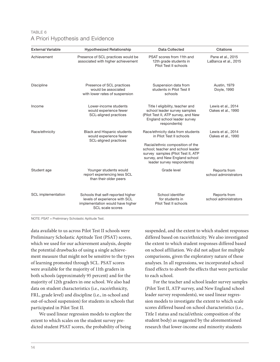| TABLE 6 |                                  |  |
|---------|----------------------------------|--|
|         | A Priori Hypothesis and Evidence |  |

| <b>External Variable</b>  | <b>Hypothesized Relationship</b>                                                                                           | <b>Data Collected</b>                                                                                                                                                                                                                        | <b>Citations</b>                          |
|---------------------------|----------------------------------------------------------------------------------------------------------------------------|----------------------------------------------------------------------------------------------------------------------------------------------------------------------------------------------------------------------------------------------|-------------------------------------------|
| Achievement               | Presence of SCL practices would be<br>associated with higher achievement                                                   | PSAT scores from 11th and<br>12th grade students in<br>Pilot Test II schools                                                                                                                                                                 | Pane et al., 2015<br>LaBanca et al., 2015 |
| <b>Discipline</b>         | Presence of SCL practices<br>would be associated<br>with lower rates of suspension                                         | Suspension data from<br>students in Pilot Test II<br>schools                                                                                                                                                                                 | Austin, 1979<br>Doyle, 1990               |
| Income                    | Lower-income students<br>would experience fewer<br><b>SCL-aligned practices</b>                                            | Title I eligibility, teacher and<br>school leader survey samples<br>(Pilot Test II, ATP survey, and New<br>England school leader survey<br>respondents)                                                                                      | Lewis et al., 2014<br>Oakes et al., 1990  |
| Race/ethnicity            | <b>Black and Hispanic students</b><br>would experience fewer<br>SCL-aligned practices                                      | Race/ethnicity data from students<br>in Pilot Test II schools<br>Racial/ethnic composition of the<br>school; teacher and school leader<br>survey samples (Pilot Test II, ATP<br>survey, and New England school<br>leader survey respondents) | Lewis et al., 2014<br>Oakes et al., 1990  |
| Student age               | Younger students would<br>report experiencing less SCL<br>than their older peers                                           | Grade level                                                                                                                                                                                                                                  | Reports from<br>school administrators     |
| <b>SCL</b> implementation | Schools that self-reported higher<br>levels of experience with SCL<br>implementation would have higher<br>SCL scale scores | School identifier<br>for students in<br>Pilot Test II schools                                                                                                                                                                                | Reports from<br>school administrators     |

NOTE: PSAT = Preliminary Scholastic Aptitude Test.

data available to us across Pilot Test II schools were Preliminary Scholastic Aptitude Test (PSAT) scores, which we used for our achievement analysis, despite the potential drawbacks of using a single achievement measure that might not be sensitive to the types of learning promoted through SCL. PSAT scores were available for the majority of 11th graders in both schools (approximately 95 percent) and for the majority of 12th graders in one school. We also had data on student characteristics (i.e., race/ethnicity, FRL, grade level) and discipline (i.e., in-school and out-of-school suspension) for students in schools that participated in Pilot Test II.

We used linear regression models to explore the extent to which scales on the student survey predicted student PSAT scores, the probability of being

suspended, and the extent to which student responses differed based on race/ethnicity. We also investigated the extent to which student responses differed based on school affiliation. We did not adjust for multiple comparisons, given the exploratory nature of these analyses. In all regressions, we incorporated school fixed effects to absorb the effects that were particular to each school.

For the teacher and school leader survey samples (Pilot Test II, ATP survey, and New England school leader survey respondents), we used linear regression models to investigate the extent to which scale scores differed based on school characteristics (i.e., Title I status and racial/ethnic composition of the student body) as suggested by the aforementioned research that lower-income and minority students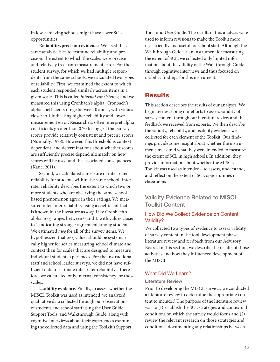in low-achieving schools might have fewer SCL opportunities.

**Reliability/precision evidence**. We used these same analytic files to examine reliability and precision: the extent to which the scales were precise and relatively free from measurement error. For the student survey, for which we had multiple respondents from the same schools, we calculated two types of reliability. First, we examined the extent to which each student responded similarly across items in a given scale. This is called *internal consistency*, and we measured this using Cronbach's alpha. Cronbach's alpha coefficients range between 0 and 1, with values closer to 1 indicating higher reliability and lower measurement error. Researchers often interpret alpha coefficients greater than 0.70 to suggest that survey scores provide relatively consistent and precise scores (Nunnally, 1978). However, this threshold is context dependent, and determinations about whether scores are sufficiently precise depend ultimately on how scores will be used and the associated consequences (Kane, 2011).

Second, we calculated a measure of inter-rater reliability for students within the same school. Interrater reliability describes the extent to which two or more students who are observing the same schoolbased phenomenon agree in their ratings. We measured inter-rater reliability using a coefficient that is known in the literature as *awg*. Like Cronbach's alpha, *awg* ranges between 0 and 1, with values closer to 1 indicating stronger agreement among students. We estimated *awg* for all of the survey items. We hypothesized that *awg* values should be systematically higher for scales measuring school climate and context than for scales that are designed to measure individual student experiences. For the instructional staff and school leader surveys, we did not have sufficient data to estimate inter-rater reliability—therefore, we calculated only internal consistency for those scales.

**Usability evidence.** Finally, to assess whether the MISCL Toolkit was used as intended, we analyzed qualitative data collected through our observations of students and school staff using the User Guide, Support Tools, and Walkthrough Guide, along with cognitive interviews about their experiences examining the collected data and using the Toolkit's Support

Tools and User Guide. The results of this analysis were used to inform revisions to make the Toolkit more user-friendly and useful for school staff. Although the Walkthrough Guide is an instrument for measuring the extent of SCL, we collected only limited information about the validity of the Walkthrough Guide through cognitive interviews and thus focused on usability findings for this instrument.

#### **Results**

This section describes the results of our analyses. We begin by describing our efforts to assess validity of survey content through our literature review and the feedback we received from experts. We then describe the validity, reliability, and usability evidence we collected for each element of the Toolkit. Our findings provide some insight about whether the instruments measured what they were intended to measure: the extent of SCL in high schools. In addition, they provide information about whether the MISCL Toolkit was used as intended—to assess, understand, and reflect on the extent of SCL opportunities in classrooms.

#### Validity Evidence Related to MISCL Toolkit Content

#### How Did We Collect Evidence on Content Validity?

We collected two types of evidence to assess validity of survey content in the tool development phase: a literature review and feedback from our Advisory Board. In this section, we describe the results of those activities and how they influenced development of the MISCL.

#### What Did We Learn?

#### Literature Review

Prior to developing the MISCL surveys, we conducted a literature review to determine the appropriate content to include.<sup>6</sup> The purpose of the literature review was to (1) establish the SCL strategies and contextual conditions on which the survey would focus and (2) review the relevant research on those strategies and conditions, documenting any relationships between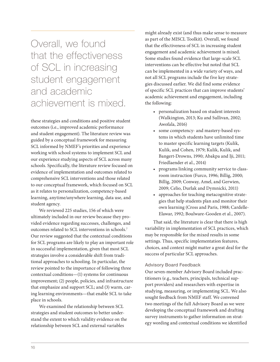## Overall, we found that the effectiveness of SCL in increasing student engagement and academic achievement is mixed.

these strategies and conditions and positive student outcomes (i.e., improved academic performance and student engagement). The literature review was guided by a conceptual framework for measuring SCL informed by NMEF's priorities and experience working with school systems to implement SCL and our experience studying aspects of SCL across many schools. Specifically, the literature review focused on evidence of implementation and outcomes related to comprehensive SCL interventions and those related to our conceptual framework, which focused on SCL as it relates to personalization, competency-based learning, anytime/anywhere learning, data use, and student agency.

We reviewed 225 studies, 156 of which were ultimately included in our review because they provided evidence regarding successes, challenges, and outcomes related to SCL interventions in schools.7 Our review suggested that the contextual conditions for SCL programs are likely to play an important role in successful implementation, given that most SCL strategies involve a considerable shift from traditional approaches to schooling. In particular, the review pointed to the importance of following three contextual conditions—(1) systems for continuous improvement; (2) people, policies, and infrastructure that emphasize and support SCL; and (3) warm, caring learning environments—that enable SCL to take place in schools.

We examined the relationship between SCL strategies and student outcomes to better understand the extent to which validity evidence on the relationship between SCL and external variables

might already exist (and thus make sense to measure as part of the MISCL Toolkit). Overall, we found that the effectiveness of SCL in increasing student engagement and academic achievement is mixed. Some studies found evidence that large-scale SCL interventions can be effective but noted that SCL can be implemented in a wide variety of ways, and not all SCL programs include the five key strategies discussed earlier. We did find some evidence of specific SCL practices that can improve students' academic achievement and engagement, including the following:

- personalization based on student interests (Walkington, 2013; Ku and Sullivan, 2002; Awofala, 2016)
- some competency- and mastery-based systems in which students have unlimited time to master specific learning targets (Kulik, Kulik, and Cohen, 1979; Kulik, Kulik, and Bangert-Drowns, 1990; Abakpa and Iji, 2011; Friedlaender et al., 2014)
- programs linking community service to classroom instruction (Furco, 1996; Billig, 2000; Billig, 2009; Conway, Amel, and Gerwien, 2009; Celio, Durlak and Dymnicki, 2011)
- approaches for teaching metacognitive strategies that help students plan and monitor their own learning (Cross and Paris, 1988; Cardelle-Elawar, 1992; Boulware-Gooden et al., 2007).

That said, the literature is clear that there is high variability in implementation of SCL practices, which may be responsible for the mixed results in some settings. Thus, specific implementation features, choices, and context might matter a great deal for the success of particular SCL approaches.

#### Advisory Board Feedback

Our seven-member Advisory Board included practitioners (e.g., teachers, principals, technical support providers) and researchers with expertise in studying, measuring, or implementing SCL. We also sought feedback from NMEF staff. We convened two meetings of the full Advisory Board as we were developing the conceptual framework and drafting survey instruments to gather information on strategy wording and contextual conditions we identified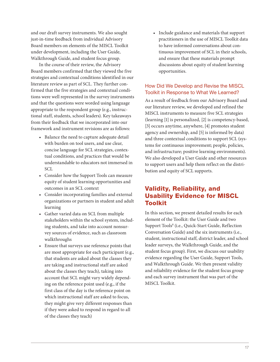and our draft survey instruments. We also sought just-in-time feedback from individual Advisory Board members on elements of the MISCL Toolkit under development, including the User Guide, Walkthrough Guide, and student focus group.

In the course of their review, the Advisory Board members confirmed that they viewed the five strategies and contextual conditions identified in our literature review as part of SCL. They further confirmed that the five strategies and contextual conditions were well represented in the survey instruments and that the questions were worded using language appropriate to the respondent group (e.g., instructional staff, students, school leaders). Key takeaways from their feedback that we incorporated into our framework and instrument revisions are as follows:

- Balance the need to capture adequate detail with burden on tool users, and use clear, concise language for SCL strategies, contextual conditions, and practices that would be understandable to educators not immersed in SCL
- Consider how the Support Tools can measure equity of student learning opportunities and outcomes in an SCL context
- Consider incorporating families and external organizations or partners in student and adult learning
- Gather varied data on SCL from multiple stakeholders within the school system, including students, and take into account nonsurvey sources of evidence, such as classroom walkthroughs
- Ensure that surveys use reference points that are most appropriate for each participant (e.g., that students are asked about the classes they are taking and instructional staff are asked about the classes they teach), taking into account that SCL might vary widely depending on the reference point used (e.g., if the first class of the day is the reference point on which instructional staff are asked to focus, they might give very different responses than if they were asked to respond in regard to all of the classes they teach)

• Include guidance and materials that support practitioners in the use of MISCL Toolkit data to have informed conversations about continuous improvement of SCL in their schools, and ensure that these materials prompt discussions about equity of student learning opportunities.

#### How Did We Develop and Revise the MISCL Toolkit in Response to What We Learned?

As a result of feedback from our Advisory Board and our literature review, we developed and refined the MISCL instruments to measure five SCL strategies (learning [1] is personalized, [2] is competency-based, [3] occurs anytime, anywhere, [4] promotes student agency and ownership, and [5] is informed by data) and three contextual conditions to support SCL (systems for continuous improvement; people, policies, and infrastructure; positive learning environments). We also developed a User Guide and other resources to support users and help them reflect on the distribution and equity of SCL supports.

#### Validity, Reliability, and Usability Evidence for MISCL Toolkit

In this section, we present detailed results for each element of the Toolkit: the User Guide and two Support Tools<sup>8</sup> (i.e., Quick-Start Guide, Reflection Conversation Guide) and the six instruments (i.e., student, instructional staff, district leader, and school leader surveys, the Walkthrough Guide, and the student focus group). First, we discuss our usability evidence regarding the User Guide, Support Tools, and Walkthrough Guide. We then present validity and reliability evidence for the student focus group and each survey instrument that was part of the MISCL Toolkit.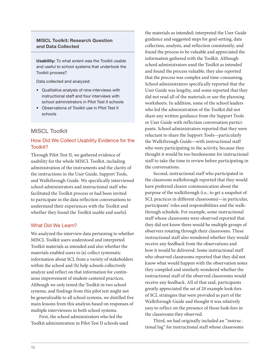#### MISCL Toolkit: Research Question and Data Collected

Usability: To what extent was the Toolkit usable and useful to school systems that undertook the Toolkit process?

Data collected and analyzed:

- Qualitative analysis of nine interviews with instructional staff and four interviews with school administrators in Pilot Test II schools
- Observations of Toolkit use in Pilot Test II schools

#### MISCL Toolkit

#### How Did We Collect Usability Evidence for the Toolkit?

Through Pilot Test II, we gathered evidence of usability for the whole MISCL Toolkit, including administration of the instruments and the clarity of the instructions in the User Guide, Support Tools, and Walkthrough Guide. We specifically interviewed school administrators and instructional staff who facilitated the Toolkit process or had been invited to participate in the data reflection conversations to understand their experiences with the Toolkit and whether they found the Toolkit usable and useful.

#### What Did We Learn?

We analyzed the interview data pertaining to whether MISCL Toolkit users understood and interpreted Toolkit materials as intended and also whether the materials enabled users to (a) collect systematic information about SCL from a variety of stakeholders within the school and (b) help schools collectively analyze and reflect on that information for continuous improvement of student-centered practices. Although we only tested the Toolkit in two school systems, and findings from this pilot test might not be generalizable to all school systems, we distilled five main lessons from this analysis based on responses of multiple interviewees in both school systems.

First, the school administrators who led the Toolkit administration in Pilot Test II schools used

the materials as intended; interpreted the User Guide guidance and suggested steps for goal-setting, data collection, analysis, and reflection consistently; and found the process to be valuable and appreciated the information gathered with the Toolkit. Although school administrators used the Toolkit as intended and found the process valuable, they also reported that the process was complex and time-consuming. School administrators specifically reported that the User Guide was lengthy, and some reported that they did not read all of the materials or use the planning worksheets. In addition, some of the school leaders who led the administration of the Toolkit did not share any written guidance from the Support Tools or User Guide with reflection conversation participants. School administrators reported that they were reluctant to share the Support Tools—particularly the Walkthrough Guide—with instructional staff who were participating in the activity, because they thought it would be too burdensome for instructional staff to take the time to review before participating in the conversations.

Second, instructional staff who participated in the classroom walkthrough reported that they would have preferred clearer communication about the purpose of the walkthrough (i.e., to get a snapshot of SCL practices in different classrooms)—in particular, participants' roles and responsibilities and the walkthrough schedule. For example, some instructional staff whose classrooms were observed reported that they did not know there would be multiple groups of observers rotating through their classrooms. These instructional staff also wondered whether they would receive any feedback from the observations and how it would be delivered. Some instructional staff who observed classrooms reported that they did not know what would happen with the observation notes they compiled and similarly wondered whether the instructional staff of the observed classrooms would receive any feedback. All of that said, participants greatly appreciated the set of 20 example look-fors of SCL strategies that were provided as part of the Walkthrough Guide and thought it was relatively easy to reflect on the presence of those look-fors in the classrooms they observed.

Third, we had originally included an "instructional log" for instructional staff whose classrooms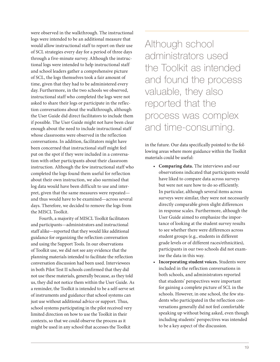were observed in the walkthrough. The instructional logs were intended to be an additional measure that would allow instructional staff to report on their use of SCL strategies every day for a period of three days through a five-minute survey. Although the instructional logs were intended to help instructional staff and school leaders gather a comprehensive picture of SCL, the logs themselves took a fair amount of time, given that they had to be administered every day. Furthermore, in the two schools we observed, instructional staff who completed the logs were not asked to share their logs or participate in the reflection conversations about the walkthrough, although the User Guide did direct facilitators to include them if possible. The User Guide might not have been clear enough about the need to include instructional staff whose classrooms were observed in the reflection conversations. In addition, facilitators might have been concerned that instructional staff might feel put on the spot if they were included in a conversation with other participants about their classroom instruction. Although the few instructional staff who completed the logs found them useful for reflection about their own instruction, we also surmised that log data would have been difficult to use and interpret, given that the same measures were repeated and thus would have to be examined—across several days. Therefore, we decided to remove the logs from the MISCL Toolkit.

Fourth, a majority of MISCL Toolkit facilitators and participants—administrators and instructional staff alike—reported that they would like additional guidance for organizing the reflection conversation and using the Support Tools. In our observations of Toolkit use, we did not see any evidence that the planning materials intended to facilitate the reflection conversation discussion had been used. Interviewees in both Pilot Test II schools confirmed that they did not use these materials, generally because, as they told us, they did not notice them within the User Guide. As a reminder, the Toolkit is intended to be a self-serve set of instruments and guidance that school systems can just use without additional advice or support. Thus, school systems participating in the pilot received very limited direction on how to use the Toolkit in their contexts, so that we could observe the process as it might be used in any school that accesses the Toolkit

Although school administrators used the Toolkit as intended and found the process valuable, they also reported that the process was complex and time-consuming.

in the future. Our data specifically pointed to the following areas where more guidance within the Toolkit materials could be useful:

- **Comparing data.** The interviews and our observations indicated that participants would have liked to compare data across surveys but were not sure how to do so efficiently. In particular, although several items across surveys were similar, they were not necessarily directly comparable given slight differences in response scales. Furthermore, although the User Guide aimed to emphasize the importance of looking at the student survey results to see whether there were differences across student groups (e.g., students in different grade levels or of different races/ethnicities), participants in our two schools did not examine the data in this way.
- **Incorporating student voices.** Students were included in the reflection conversations in both schools, and administrators reported that students' perspectives were important for gaining a complete picture of SCL in the schools. However, in one school, the few students who participated in the reflection conversations generally did not feel comfortable speaking up without being asked, even though including students' perspectives was intended to be a key aspect of the discussion.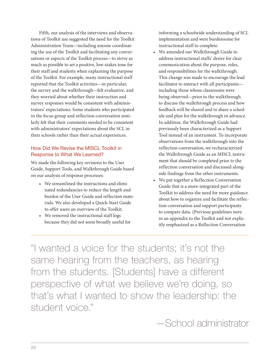Fifth, our analysis of the interviews and observations of Toolkit use suggested the need for the Toolkit Administration Team—including anyone coordinating the use of the Toolkit and facilitating any conversations or aspects of the Toolkit process—to strive as much as possible to set a positive, low-stakes tone for their staff and students when explaining the purpose of the Toolkit. For example, many instructional staff reported that the Toolkit activities—in particular, the survey and the walkthrough—felt evaluative, and they worried about whether their instruction and survey responses would be consistent with administrators' expectations. Some students who participated in the focus group and reflection conversation similarly felt that their comments needed to be consistent with administrators' expectations about the SCL in their schools rather than their actual experiences.

#### How Did We Revise the MISCL Toolkit in Response to What We Learned?

We made the following key revisions to the User Guide, Support Tools, and Walkthrough Guide based on our analysis of response processes:

- We streamlined the instructions and eliminated redundancies to reduce the length and burden of the User Guide and reflection materials. We also developed a Quick-Start Guide to offer users an overview of the Toolkit.
- We removed the instructional staff logs because they did not seem broadly useful for

informing a schoolwide understanding of SCL implementation and were burdensome for instructional staff to complete.

- We amended our Walkthrough Guide to address instructional staffs' desire for clear communication about the purpose, roles, and responsibilities for the walkthrough. This change was made to encourage the lead facilitator to interact with all participants including those whose classrooms were being observed—prior to the walkthrough to discuss the walkthrough process and how feedback will be shared and to share a schedule and plan for the walkthrough in advance. In addition, the Walkthrough Guide had previously been characterized as a Support Tool instead of an instrument. To incorporate observations from the walkthrough into the reflection conversation, we recharacterized the Walkthrough Guide as an MISCL instrument that should be completed prior to the reflection conversation and discussed alongside findings from the other instruments.
- We put together a Reflection Conversation Guide that is a more-integrated part of the Toolkit to address the need for more guidance about how to organize and facilitate the reflection conversation and support participants to compare data. (Previous guidelines were in an appendix to the Toolkit and not explicitly emphasized as a Reflection Conversation

"I wanted a voice for the students; it's not the same hearing from the teachers, as hearing from the students. [Students] have a different perspective of what we believe we're doing, so that's what I wanted to show the leadership: the student voice."

—School administrator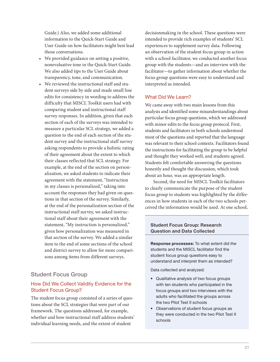Guide.) Also, we added some additional information to the Quick-Start Guide and User Guide on how facilitators might best lead those conversations.

- We provided guidance on setting a positive, nonevaluative tone in the Quick-Start Guide. We also added tips to the User Guide about transparency, tone, and communication.
- We reviewed the instructional staff and student surveys side by side and made small line edits for consistency in wording to address the difficulty that MISCL Toolkit users had with comparing student and instructional staff survey responses. In addition, given that each section of each of the surveys was intended to measure a particular SCL strategy, we added a question to the end of each section of the student survey and the instructional staff survey asking respondents to provide a holistic rating of their agreement about the extent to which their classes reflected that SCL strategy. For example, at the end of the section on personalization, we asked students to indicate their agreement with the statement, "Instruction in my classes is personalized," taking into account the responses they had given on questions in that section of the survey. Similarly, at the end of the personalization section of the instructional staff survey, we asked instructional staff about their agreement with the statement, "My instruction is personalized," given how personalization was measured in that section of the survey. We added a similar item to the end of some sections of the school and district survey to allow for more comparisons among items from different surveys.

#### Student Focus Group

#### How Did We Collect Validity Evidence for the Student Focus Group?

The student focus group consisted of a series of questions about the SCL strategies that were part of our framework. The questions addressed, for example, whether and how instructional staff address students' individual learning needs, and the extent of student

decisionmaking in the school. These questions were intended to provide rich examples of students' SCL experiences to supplement survey data. Following an observation of the student focus group in action with a school facilitator, we conducted another focus group with the students—and an interview with the facilitator—to gather information about whether the focus group questions were easy to understand and interpreted as intended.

#### What Did We Learn?

We came away with two main lessons from this analysis and identified some misunderstandings about particular focus group questions, which we addressed with minor edits to the focus group protocol. First, students and facilitators in both schools understood most of the questions and reported that the language was relevant to their school contexts. Facilitators found the instructions for facilitating the group to be helpful and thought they worked well, and students agreed. Students felt comfortable answering the questions honestly and thought the discussion, which took about an hour, was an appropriate length.

Second, the need for MISCL Toolkit facilitators to clearly communicate the purpose of the student focus group to students was highlighted by the differences in how students in each of the two schools perceived the information would be used. At one school,

#### Student Focus Group: Research Question and Data Collected

Response processes: To what extent did the students and the MISCL facilitator find the student focus group questions easy to understand and interpret them as intended?

Data collected and analyzed:

- Qualitative analysis of two focus groups with ten students who participated in the focus groups and two interviews with the adults who facilitated the groups across the two Pilot Test II schools
- Observations of student focus groups as they were conducted in the two Pilot Test II schools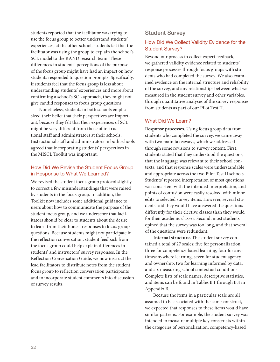students reported that the facilitator was trying to use the focus group to better understand students' experiences; at the other school, students felt that the facilitator was using the group to explain the school's SCL model to the RAND research team. These differences in students' perceptions of the purpose of the focus group might have had an impact on how students responded to question prompts. Specifically, if students feel that the focus group is less about understanding students' experiences and more about confirming a school's SCL approach, they might not give candid responses to focus group questions.

Nonetheless, students in both schools emphasized their belief that their perspectives are important, because they felt that their experiences of SCL might be very different from those of instructional staff and administrators at their schools. Instructional staff and administrators in both schools agreed that incorporating students' perspectives in the MISCL Toolkit was important.

#### How Did We Revise the Student Focus Group in Response to What We Learned?

We revised the student focus group protocol slightly to correct a few misunderstandings that were raised by students in the focus group. In addition, the Toolkit now includes some additional guidance to users about how to communicate the purpose of the student focus group, and we underscore that facilitators should be clear to students about the desire to learn from their honest responses to focus group questions. Because students might not participate in the reflection conversation, student feedback from the focus group could help explain differences in students' and instructors' survey responses. In the Reflection Conversation Guide, we now instruct the lead facilitators to distribute notes from the student focus group to reflection conversation participants and to incorporate student comments into discussion of survey results.

#### Student Survey

#### How Did We Collect Validity Evidence for the Student Survey?

Beyond our process to collect expert feedback, we gathered validity evidence related to students' response processes through focus groups with students who had completed the survey. We also examined evidence on the internal structure and reliability of the survey, and any relationships between what we measured in the student survey and other variables, through quantitative analyses of the survey responses from students as part of our Pilot Test II.

#### What Did We Learn?

**Response processes.** Using focus group data from students who completed the survey, we came away with two main takeaways, which we addressed through some revisions to survey content. First, students stated that they understood the questions, that the language was relevant to their school contexts, and that response scales were understandable and appropriate across the two Pilot Test II schools. Students' reported interpretation of most questions was consistent with the intended interpretation, and points of confusion were easily resolved with minor edits to selected survey items. However, several students said they would have answered the questions differently for their elective classes than they would for their academic classes. Second, most students opined that the survey was too long, and that several of the questions were redundant.

**Internal structure.** The student survey contained a total of 27 scales: five for personalization, three for competency-based learning, four for anytime/anywhere learning, seven for student agency and ownership, two for learning informed by data, and six measuring school contextual conditions. Complete lists of scale names, descriptive statistics, and items can be found in Tables B.1 through B.4 in Appendix B.

Because the items in a particular scale are all assumed to be associated with the same construct, we expected that responses to these items would have similar patterns. For example, the student survey was intended to measure multiple key constructs within the categories of personalization, competency-based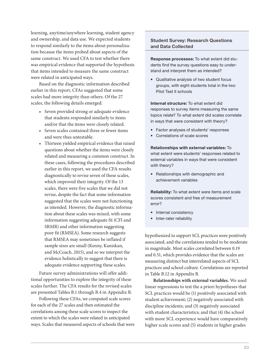learning, anytime/anywhere learning, student agency and ownership, and data use. We expected students to respond similarly to the items about personalization because the items probed about aspects of the same construct. We used CFA to test whether there was empirical evidence that supported the hypothesis that items intended to measure the same construct were related in anticipated ways.

Based on the diagnostic information described earlier in this report, CFAs suggested that some scales had more integrity than others. Of the 27 scales, the following details emerged:

- Seven provided strong or adequate evidence that students responded similarly to items and/or that the items were closely related.
- Seven scales contained three or fewer items and were thus untestable.
- Thirteen yielded empirical evidence that raised questions about whether the items were closely related and measuring a common construct. In these cases, following the procedures described earlier in this report, we used the CFA results diagnostically to revise seven of these scales, which improved their integrity. Of the 13 scales, there were five scales that we did not revise, despite the fact that some information suggested that the scales were not functioning as intended. However, the diagnostic information about these scales was mixed, with some information suggesting adequate fit (CFI and SRMR) and other information suggesting poor fit (RMSEA). Some research suggests that RMSEA may sometimes be inflated if sample sizes are small (Kenny, Kaniskan, and McCoach, 2015), and so we interpret the evidence holistically to suggest that there is adequate evidence supporting these scales.

Future survey administrations will offer additional opportunities to explore the integrity of these scales further. The CFA results for the revised scales are presented Tables B.1 through B.4 in Appendix B.

Following these CFAs, we computed scale scores for each of the 27 scales and then estimated the correlations among these scale scores to inspect the extent to which the scales were related in anticipated ways. Scales that measured aspects of schools that were

#### Student Survey: Research Questions and Data Collected

Response processes: To what extent did students find the survey questions easy to understand and interpret them as intended?

• Qualitative analysis of two student focus groups, with eight students total in the two Pilot Test II schools

Internal structure: To what extent did responses to survey items measuring the same topics relate? To what extent did scales correlate in ways that were consistent with theory?

- Factor analyses of students' responses
- Correlations of scale scores

Relationships with external variables: To what extent were students' responses related to external variables in ways that were consistent with theory?

• Relationships with demographic and achievement variables

Reliability: To what extent were items and scale scores consistent and free of measurement error?

- Internal consistency
- Inter-rater reliability

hypothesized to support SCL practices were positively associated, and the correlations tended to be moderate in magnitude. Most scales correlated between 0.19 and 0.51, which provides evidence that the scales are measuring distinct but interrelated aspects of SCL practices and school culture. Correlations are reported in Table B.12 in Appendix B.

**Relationships with external variables.** We used linear regressions to test the a priori hypotheses that SCL practices would be (1) positively associated with student achievement; (2) negatively associated with discipline incidents; and (3) negatively associated with student characteristics; and that (4) the school with more SCL experience would have comparatively higher scale scores and (5) students in higher grades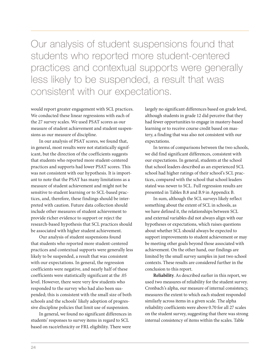Our analysis of student suspensions found that students who reported more student-centered practices and contextual supports were generally less likely to be suspended, a result that was consistent with our expectations.

would report greater engagement with SCL practices. We conducted these linear regressions with each of the 27 survey scales. We used PSAT scores as our measure of student achievement and student suspensions as our measure of discipline.

In our analysis of PSAT scores, we found that, in general, most results were not statistically significant, but the direction of the coefficients suggests that students who reported more student-centered practices and supports had lower PSAT scores. This was not consistent with our hypothesis. It is important to note that the PSAT has many limitations as a measure of student achievement and might not be sensitive to student learning or to SCL-based practices, and, therefore, these findings should be interpreted with caution. Future data collection should include other measures of student achievement to provide richer evidence to support or reject the research-based hypothesis that SCL practices should be associated with higher student achievement.

Our analysis of student suspensions found that students who reported more student-centered practices and contextual supports were generally less likely to be suspended, a result that was consistent with our expectations. In general, the regression coefficients were negative, and nearly half of these coefficients were statistically significant at the .05 level. However, there were very few students who responded to the survey who had also been suspended; this is consistent with the small size of both schools and the schools' likely adoption of progressive discipline policies that limit use of suspension.

In general, we found no significant differences in students' responses to survey items in regard to SCL based on race/ethnicity or FRL eligibility. There were

largely no significant differences based on grade level, although students in grade 12 did perceive that they had fewer opportunities to engage in mastery-based learning or to receive course credit based on mastery, a finding that was also not consistent with our expectations.

In terms of comparisons between the two schools, we did find significant differences, consistent with our expectations. In general, students at the school that school leaders described as an experienced SCL school had higher ratings of their school's SCL practices, compared with the school that school leaders stated was newer to SCL. Full regression results are presented in Tables B.8 and B.9 in Appendix B.

In sum, although the SCL surveys likely reflect something about the extent of SCL in schools, as we have defined it, the relationships between SCL and external variables did not always align with our hypotheses or expectations, which raises questions about whether SCL should always be expected to support improvements to student achievement or may be meeting other goals beyond those associated with achievement. On the other hand, our findings are limited by the small survey samples in just two school contexts. These results are considered further in the conclusion to this report.

**Reliability**. As described earlier in this report, we used two measures of reliability for the student survey. Cronbach's alpha, our measure of internal consistency, measures the extent to which each student responded similarly across items in a given scale. The alpha reliability coefficients were above 0.70 for all 27 scales on the student survey, suggesting that there was strong internal consistency of items within the scales. Table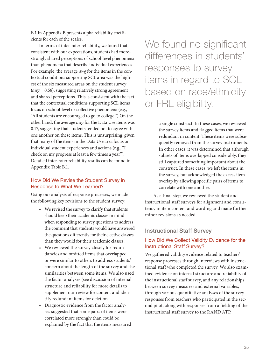B.1 in Appendix B presents alpha reliability coefficients for each of the scales.

In terms of inter-rater reliability, we found that, consistent with our expectations, students had morestrongly shared perceptions of school-level phenomena than phenomena that describe individual experiences. For example, the average *awg* for the items in the contextual conditions supporting SCL area was the highest of the six measured areas on the student survey (*awg* = 0.58), suggesting relatively strong agreement and shared perceptions. This is consistent with the fact that the contextual conditions supporting SCL items focus on school-level or collective phenomena (e.g., "All students are encouraged to go to college.") On the other hand, the average *awg* for the Data Use items was 0.17, suggesting that students tended not to agree with one another on these items. This is unsurprising, given that many of the items in the Data Use area focus on individual student experiences and actions (e.g., "I check on my progress at least a few times a year"). Detailed inter-rater reliability results can be found in Appendix Table B.1.

#### How Did We Revise the Student Survey in Response to What We Learned?

Using our analysis of response processes, we made the following key revisions to the student survey:

- We revised the survey to clarify that students should keep their academic classes in mind when responding to survey questions to address the comment that students would have answered the questions differently for their elective classes than they would for their academic classes.
- We reviewed the survey closely for redundancies and omitted items that overlapped or were similar to others to address students' concern about the length of the survey and the similarities between some items. We also used the factor analyses (see discussion of internal structure and reliability for more detail) to supplement our review for content and identify redundant items for deletion.
- Diagnostic evidence from the factor analyses suggested that some pairs of items were correlated more strongly than could be explained by the fact that the items measured

We found no significant differences in students' responses to survey items in regard to SCL based on race/ethnicity or FRL eligibility.

> a single construct. In these cases, we reviewed the survey items and flagged items that were redundant in content. These items were subsequently removed from the survey instruments. In other cases, it was determined that although subsets of items overlapped considerably, they still captured something important about the construct. In these cases, we left the items in the survey, but acknowledged the excess item overlap by allowing specific pairs of items to correlate with one another.

As a final step, we reviewed the student and instructional staff surveys for alignment and consistency in item content and wording and made further minor revisions as needed.

#### Instructional Staff Survey

#### How Did We Collect Validity Evidence for the Instructional Staff Survey?

We gathered validity evidence related to teachers' response processes through interviews with instructional staff who completed the survey. We also examined evidence on internal structure and reliability of the instructional staff survey, and any relationships between survey measures and external variables, through various quantitative analyses of the survey responses from teachers who participated in the second pilot, along with responses from a fielding of the instructional staff survey to the RAND ATP.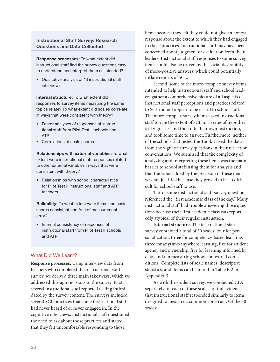#### Instructional Staff Survey: Research Questions and Data Collected

Response processes: To what extent did instructional staff find the survey questions easy to understand and interpret them as intended?

• Qualitative analysis of 13 instructional staff interviews

Internal structure: To what extent did responses to survey items measuring the same topics relate? To what extent did scales correlate in ways that were consistent with theory?

- Factor analyses of responses of instructional staff from Pilot Test II schools and ATP
- Correlations of scale scores

Relationships with external variables: To what extent were instructional staff responses related to other external variables in ways that were consistent with theory?

• Relationships with school characteristics for Pilot Test II instructional staff and ATP teachers

Reliability: To what extent were items and scale scores consistent and free of measurement error?

• Internal consistency of responses of instructional staff from Pilot Test II schools and ATP

#### What Did We Learn?

**Response processes.** Using interview data from teachers who completed the instructional staff survey, we derived three main takeaways, which we addressed through revisions to the survey. First, several instructional staff reported feeling intimidated by the survey content. The surveys included several SCL practices that some instructional staff had never heard of or never engaged in. In the cognitive interviews, instructional staff questioned the need to ask about those practices and stated that they felt uncomfortable responding to those

items because they felt they could not give an honest response about the extent to which they had engaged in those practices. Instructional staff may have been concerned about judgment or evaluation from their leaders. Instructional staff responses to some survey items could also be driven by the social desirability of more-positive answers, which could potentially inflate reports of SCL.

Second, some of the more-complex survey items intended to help instructional staff and school leaders gather a comprehensive picture of all aspects of instructional staff perceptions and practices related to SCL did not appear to be useful to school staff. The more-complex survey items asked instructional staff to rate the extent of SCL in a series of hypothetical vignettes and then rate their own instruction, and took some time to answer. Furthermore, neither of the schools that tested the Toolkit used the data from the vignette survey questions in their reflection conversations. We surmised that the complexity of analyzing and interpreting these items was the main barrier to school staff using them for analysis and that the value added by the precision of these items was not justified because they proved to be so difficult for school staff to use.

Third, some instructional staff survey questions referenced the "first academic class of the day." Many instructional staff had trouble answering those questions because their first academic class was reportedly atypical of their regular instruction.

**Internal structure.** The instructional staff survey contained a total of 30 scales: four for personalization, three for competency-based learning, three for anytime/anywhere learning, five for student agency and ownership, five for learning informed by data, and ten measuring school contextual conditions. Complete lists of scale names, descriptive statistics, and items can be found in Table B.2 in Appendix B.

As with the student survey, we conducted CFA separately for each of these scales to find evidence that instructional staff responded similarly to items designed to measure a common construct. Of the 30 scales: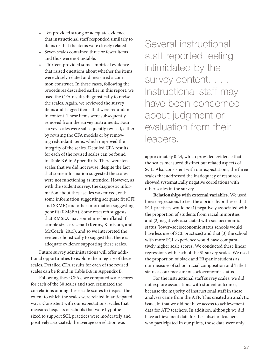- Ten provided strong or adequate evidence that instructional staff responded similarly to items or that the items were closely related.
- Seven scales contained three or fewer items and thus were not testable.
- Thirteen provided some empirical evidence that raised questions about whether the items were closely related and measured a common construct. In these cases, following the procedures described earlier in this report, we used the CFA results diagnostically to revise the scales. Again, we reviewed the survey items and flagged items that were redundant in content. These items were subsequently removed from the survey instruments. Four survey scales were subsequently revised, either by revising the CFA models or by removing redundant items, which improved the integrity of the scales. Detailed CFA results for each of the revised scales can be found in Table B.6 in Appendix B. There were ten scales that we did not revise, despite the fact that some information suggested the scales were not functioning as intended. However, as with the student survey, the diagnostic information about these scales was mixed, with some information suggesting adequate fit (CFI and SRMR) and other information suggesting poor fit (RMSEA). Some research suggests that RMSEA may sometimes be inflated if sample sizes are small (Kenny, Kaniskan, and McCoach, 2015), and so we interpreted the evidence holistically to suggest that there is adequate evidence supporting these scales.

Future survey administrations will offer additional opportunities to explore the integrity of these scales. Detailed CFA results for each of the revised scales can be found in Table B.6 in Appendix B.

Following these CFAs, we computed scale scores for each of the 30 scales and then estimated the correlations among these scale scores to inspect the extent to which the scales were related in anticipated ways. Consistent with our expectations, scales that measured aspects of schools that were hypothesized to support SCL practices were moderately and positively associated; the average correlation was

Several instructional staff reported feeling intimidated by the survey content. . . . Instructional staff may have been concerned about judgment or evaluation from their leaders.

approximately 0.24, which provided evidence that the scales measured distinct but related aspects of SCL. Also consistent with our expectations, the three scales that addressed the inadequacy of resources showed systematically negative correlations with other scales in the survey.

**Relationships with external variables.** We used linear regressions to test the a priori hypotheses that SCL practices would be (1) negatively associated with the proportion of students from racial minorities and (2) negatively associated with socioeconomic status (lower–socioeconomic status schools would have less use of SCL practices) and that (3) the school with more SCL experience would have comparatively higher scale scores. We conducted these linear regressions with each of the 31 survey scales. We used the proportion of black and Hispanic students as our measure of school racial composition and Title I status as our measure of socioeconomic status.

For the instructional staff survey scales, we did not explore associations with student outcomes, because the majority of instructional staff in these analyses came from the ATP. This created an analytic issue, in that we did not have access to achievement data for ATP teachers. In addition, although we did have achievement data for the subset of teachers who participated in our pilots, those data were only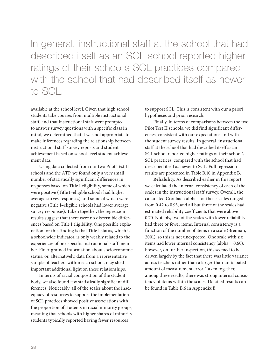In general, instructional staff at the school that had described itself as an SCL school reported higher ratings of their school's SCL practices compared with the school that had described itself as newer to SCL.

available at the school level. Given that high school students take courses from multiple instructional staff, and that instructional staff were prompted to answer survey questions with a specific class in mind, we determined that it was not appropriate to make inferences regarding the relationship between instructional staff survey reports and student achievement based on school-level student achievement data.

Using data collected from our two Pilot Test II schools and the ATP, we found only a very small number of statistically significant differences in responses based on Title I eligibility, some of which were positive (Title I–eligible schools had higher average survey responses) and some of which were negative (Title I–eligible schools had lower average survey responses). Taken together, the regression results suggest that there were no discernible differences based on Title I eligibility. One possible explanation for this finding is that Title I status, which is a schoolwide indicator, is only weakly related to the experiences of one specific instructional staff member. Finer-grained information about socioeconomic status, or, alternatively, data from a representative sample of teachers within each school, may shed important additional light on these relationships.

In terms of racial composition of the student body, we also found few statistically significant differences. Noticeably, all of the scales about the inadequacy of resources to support the implementation of SCL practices showed positive associations with the proportion of students in racial minority groups, meaning that schools with higher shares of minority students typically reported having fewer resources

to support SCL. This is consistent with our a priori hypotheses and prior research.

Finally, in terms of comparisons between the two Pilot Test II schools, we did find significant differences, consistent with our expectations and with the student survey results. In general, instructional staff at the school that had described itself as an SCL school reported higher ratings of their school's SCL practices, compared with the school that had described itself as newer to SCL. Full regression results are presented in Table B.10 in Appendix B.

**Reliability**. As described earlier in this report, we calculated the internal consistency of each of the scales in the instructional staff survey. Overall, the calculated Cronbach alphas for those scales ranged from 0.42 to 0.93, and all but three of the scales had estimated reliability coefficients that were above 0.70. Notably, two of the scales with lower reliability had three or fewer items. Internal consistency is a function of the number of items in a scale (Brennan, 2001), so this is not unexpected. One scale with six items had lower internal consistency (alpha = 0.60); however, on further inspection, this seemed to be driven largely by the fact that there was little variance across teachers rather than a larger-than-anticipated amount of measurement error. Taken together, among these results, there was strong internal consistency of items within the scales. Detailed results can be found in Table B.6 in Appendix B.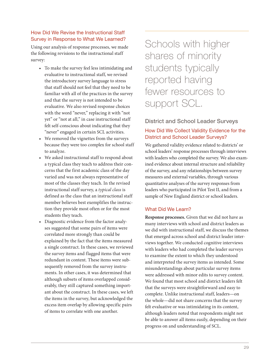#### How Did We Revise the Instructional Staff Survey in Response to What We Learned?

Using our analysis of response processes, we made the following revisions to the instructional staff survey:

- To make the survey feel less intimidating and evaluative to instructional staff, we revised the introductory survey language to stress that staff should not feel that they need to be familiar with all of the practices in the survey and that the survey is not intended to be evaluative. We also revised response choices with the word "never," replacing it with "not yet" or "not at all," in case instructional staff felt self-conscious about indicating that they "never" engaged in certain SCL activities.
- We removed the vignettes from the surveys because they were too complex for school staff to analyze.
- We asked instructional staff to respond about a typical class they teach to address their concerns that the first academic class of the day varied and was not always representative of most of the classes they teach. In the revised instructional staff survey, a *typical class* is defined as the class that an instructional staff member believes best exemplifies the instruction they provide most often or for the most students they teach.
- Diagnostic evidence from the factor analyses suggested that some pairs of items were correlated more strongly than could be explained by the fact that the items measured a single construct. In these cases, we reviewed the survey items and flagged items that were redundant in content. These items were subsequently removed from the survey instruments. In other cases, it was determined that although subsets of items overlapped considerably, they still captured something important about the construct. In these cases, we left the items in the survey, but acknowledged the excess item overlap by allowing specific pairs of items to correlate with one another.

Schools with higher shares of minority students typically reported having fewer resources to support SCL.

#### District and School Leader Surveys

#### How Did We Collect Validity Evidence for the District and School Leader Surveys?

We gathered validity evidence related to districts' or school leaders' response processes through interviews with leaders who completed the survey. We also examined evidence about internal structure and reliability of the survey, and any relationships between survey measures and external variables, through various quantitative analyses of the survey responses from leaders who participated in Pilot Test II, and from a sample of New England district or school leaders.

#### What Did We Learn?

**Response processes.** Given that we did not have as many interviews with school and district leaders as we did with instructional staff, we discuss the themes that emerged across school and district leader interviews together. We conducted cognitive interviews with leaders who had completed the leader surveys to examine the extent to which they understood and interpreted the survey items as intended. Some misunderstandings about particular survey items were addressed with minor edits to survey content. We found that most school and district leaders felt that the surveys were straightforward and easy to complete. Unlike instructional staff, leaders—on the whole—did not share concerns that the survey felt evaluative or was intimidating in its content, although leaders noted that respondents might not be able to answer all items easily, depending on their progress on and understanding of SCL.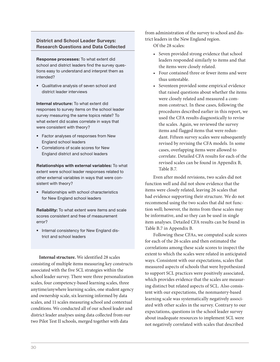#### District and School Leader Surveys: Research Questions and Data Collected

Response processes: To what extent did school and district leaders find the survey questions easy to understand and interpret them as intended?

• Qualitative analysis of seven school and district leader interviews

Internal structure: To what extent did responses to survey items on the school leader survey measuring the same topics relate? To what extent did scales correlate in ways that were consistent with theory?

- Factor analyses of responses from New England school leaders
- Correlations of scale scores for New England district and school leaders

Relationships with external variables: To what extent were school leader responses related to other external variables in ways that were consistent with theory?

• Relationships with school characteristics for New England school leaders

Reliability: To what extent were items and scale scores consistent and free of measurement error?

• Internal consistency for New England district and school leaders

**Internal structure.** We identified 28 scales consisting of multiple items measuring key constructs associated with the five SCL strategies within the school leader survey. There were three personalization scales, four competency-based learning scales, three anytime/anywhere learning scales, one student agency and ownership scale, six learning informed by data scales, and 11 scales measuring school and contextual conditions. We conducted all of our school leader and district leader analyses using data collected from our two Pilot Test II schools, merged together with data

from administration of the survey to school and district leaders in the New England region.

Of the 28 scales:

- Seven provided strong evidence that school leaders responded similarly to items and that the items were closely related.
- Four contained three or fewer items and were thus untestable.
- Seventeen provided some empirical evidence that raised questions about whether the items were closely related and measured a common construct. In these cases, following the procedures described earlier in this report, we used the CFA results diagnostically to revise the scales. Again, we reviewed the survey items and flagged items that were redundant. Fifteen survey scales were subsequently revised by revising the CFA models. In some cases, overlapping items were allowed to correlate. Detailed CFA results for each of the revised scales can be found in Appendix B, Table B.7.

Even after model revisions, two scales did not function well and did not show evidence that the items were closely related, leaving 26 scales that had evidence supporting their structure. We do not recommend using the two scales that did not function well; however, the items from these scales may be informative, and so they can be used in single item analyses. Detailed CFA results can be found in Table B.7 in Appendix B.

Following these CFAs, we computed scale scores for each of the 26 scales and then estimated the correlations among these scale scores to inspect the extent to which the scales were related in anticipated ways. Consistent with our expectations, scales that measured aspects of schools that were hypothesized to support SCL practices were positively associated, which provides evidence that the scales are measuring distinct but related aspects of SCL. Also consistent with our expectations, the nonmastery-based learning scale was systematically negatively associated with other scales in the survey. Contrary to our expectations, questions in the school leader survey about inadequate resources to implement SCL were not negatively correlated with scales that described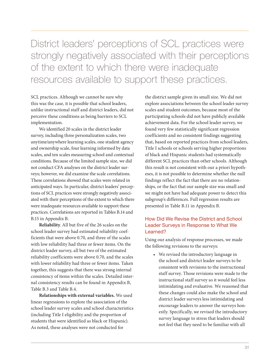District leaders' perceptions of SCL practices were strongly negatively associated with their perceptions of the extent to which there were inadequate resources available to support these practices.

SCL practices. Although we cannot be sure why this was the case, it is possible that school leaders, unlike instructional staff and district leaders, did not perceive these conditions as being barriers to SCL implementation.

We identified 20 scales in the district leader survey, including three personalization scales, two anytime/anywhere learning scales, one student agency and ownership scale, four learning informed by data scales, and ten scales measuring school and contextual conditions. Because of the limited sample size, we did not conduct CFA analyses on the district leader surveys; however, we did examine the scale correlations. These correlations showed that scales were related in anticipated ways. In particular, district leaders' perceptions of SCL practices were strongly negatively associated with their perceptions of the extent to which there were inadequate resources available to support these practices. Correlations are reported in Tables B.14 and B.15 in Appendix B.

**Reliability**. All but five of the 26 scales on the school leader survey had estimated reliability coefficients that were above 0.70, and three of the scales with low reliability had three or fewer items. On the district leader survey, all but two of the estimated reliability coefficients were above 0.70, and the scales with lower reliability had three or fewer items. Taken together, this suggests that there was strong internal consistency of items within the scales. Detailed internal consistency results can be found in Appendix B, Table B.3 and Table B.4.

**Relationships with external variables.** We used linear regressions to explore the association of the school leader survey scales and school characteristics (including Title I eligibility and the proportion of students that were identified as black or Hispanic). As noted, these analyses were not conducted for

the district sample given its small size. We did not explore associations between the school leader survey scales and student outcomes, because most of the participating schools did not have publicly available achievement data. For the school leader survey, we found very few statistically significant regression coefficients and no consistent findings suggesting that, based on reported practices from school leaders, Title I schools or schools serving higher proportions of black and Hispanic students had systematically different SCL practices than other schools. Although this result is not consistent with our a priori hypotheses, it is not possible to determine whether the null findings reflect the fact that there are no relationships, or the fact that our sample size was small and we might not have had adequate power to detect this subgroup's differences. Full regression results are presented in Table B.11 in Appendix B.

#### How Did We Revise the District and School Leader Surveys in Response to What We Learned?

Using our analysis of response processes, we made the following revisions to the surveys:

• We revised the introductory language in the school and district leader surveys to be consistent with revisions to the instructional staff survey. Those revisions were made to the instructional staff survey so it would feel less intimidating and evaluative. We reasoned that these changes could also make the school and district leader surveys less intimidating and encourage leaders to answer the surveys honestly. Specifically, we revised the introductory survey language to stress that leaders should not feel that they need to be familiar with all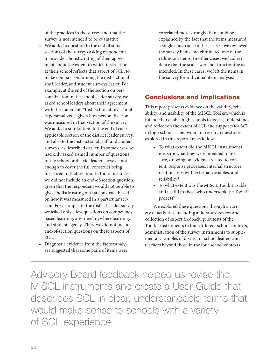of the practices in the survey and that the survey is not intended to be evaluative.

- We added a question to the end of some sections of the surveys asking respondents to provide a holistic rating of their agreement about the extent to which instruction at their school reflects that aspect of SCL, to make comparisons among the instructional staff, leader, and student surveys easier. For example, at the end of the section on personalization in the school leader survey, we asked school leaders about their agreement with the statement, "Instruction at my school is personalized," given how personalization was measured in that section of the survey. We added a similar item to the end of each applicable section of the district leader survey, and also to the instructional staff and student surveys, as described earlier. In some cases, we had only asked a small number of questions in the school or district leader survey—not enough to cover the full construct being measured in that section. In those instances, we did not include an end-of-section question, given that the respondent would not be able to give a holistic rating of that construct based on how it was measured in a particular section. For example, in the district leader survey, we asked only a few questions on competencybased learning, anytime/anywhere learning, and student agency. Thus, we did not include end-of-section questions on these aspects of SCL.
- Diagnostic evidence from the factor analyses suggested that some pairs of items were

correlated more strongly than could be explained by the fact that the items measured a single construct. In these cases, we reviewed the survey items and eliminated one of the redundant items. In other cases, we had evidence that the scales were not functioning as intended. In these cases, we left the items in the survey for individual item analysis.

#### Conclusions and Implications

This report presents evidence on the validity, reliability, and usability of the MISCL Toolkit, which is intended to enable high schools to assess, understand, and reflect on the extent of SCL and supports for SCL in high schools. The two main research questions explored in this report are as follows:

- To what extent did the MISCL instruments measure what they were intended to measure, drawing on evidence related to content, response processes, internal structure, relationships with external variables, and reliability?
- To what extent was the MISCL Toolkit usable and useful to those who undertook the Toolkit process?

We explored these questions through a variety of activities, including a literature review and collection of expert feedback, pilot tests of the Toolkit instruments in four different school contexts, administration of the survey instruments to supplementary samples of district or school leaders and teachers beyond those in the four school contexts,

Advisory Board feedback helped us revise the MISCL instruments and create a User Guide that describes SCL in clear, understandable terms that would make sense to schools with a variety of SCL experience.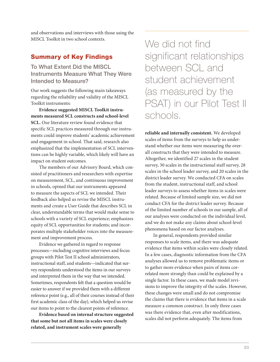and observations and interviews with those using the MISCL Toolkit in two school contexts.

#### Summary of Key Findings

To What Extent Did the MISCL Instruments Measure What They Were Intended to Measure?

Our work suggests the following main takeaways regarding the reliability and validity of the MISCL Toolkit instruments:

**Evidence suggested MISCL Toolkit instruments measured SCL constructs and school-level SCL.** Our literature review found evidence that specific SCL practices measured through our instruments could improve students' academic achievement and engagement in school. That said, research also emphasized that the implementation of SCL interventions can be highly variable, which likely will have an impact on student outcomes.

The members of our Advisory Board, which consisted of practitioners and researchers with expertise on measurement, SCL, and continuous improvement in schools, opined that our instruments appeared to measure the aspects of SCL we intended. Their feedback also helped us revise the MISCL instruments and create a User Guide that describes SCL in clear, understandable terms that would make sense to schools with a variety of SCL experience; emphasizes equity of SCL opportunities for students; and incorporates multiple stakeholder voices into the measurement and improvement process.

Evidence we gathered in regard to response processes—including cognitive interviews and focus groups with Pilot Test II school administrators, instructional staff, and students—indicated that survey respondents understood the items in our surveys and interpreted them in the way that we intended. Sometimes, respondents felt that a question would be easier to answer if we provided them with a different reference point (e.g., all of their courses instead of their first academic class of the day), which helped us revise our items to point to the clearest points of reference.

**Evidence based on internal structure suggested that some but not all items in scales were closely related, and instrument scales were generally** 

We did not find significant relationships between SCL and student achievement (as measured by the PSAT) in our Pilot Test II schools.

**reliable and internally consistent.** We developed scales of items from the surveys to help us understand whether our items were measuring the overall constructs that they were intended to measure. Altogether, we identified 27 scales in the student survey, 30 scales in the instructional staff survey, 28 scales in the school leader survey, and 20 scales in the district leader survey. We conducted CFA on scales from the student, instructional staff, and school leader surveys to assess whether items in scales were related. Because of limited sample size, we did not conduct CFA for the district leader survey. Because of the limited number of schools in our sample, all of our analyses were conducted on the individual level, and we do not make any claims about school-level phenomena based on our factor analyses.

In general, respondents provided similar responses to scale items, and there was adequate evidence that items within scales were closely related. In a few cases, diagnostic information from the CFA analyses allowed us to remove problematic items or to gather more evidence when pairs of items correlated more strongly than could be explained by a single factor. In these cases, we made model revisions to improve the integrity of the scales. However, these changes were small and do not compromise the claims that there is evidence that items in a scale measure a common construct. In only three cases was there evidence that, even after modifications, scales did not perform adequately. The items from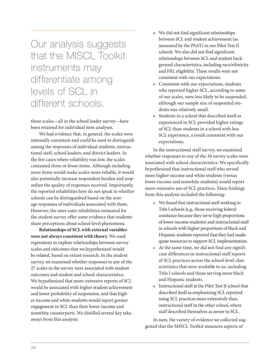Our analysis suggests that the MISCL Toolkit instruments may differentiate among levels of SCL in different schools.

those scales—all in the school leader survey—have been retained for individual item analyses.

We had evidence that, in general, the scales were internally consistent and could be used to distinguish among the responses of individual students, instructional staff, school leaders, and district leaders. In the few cases where reliability was low, the scales contained three or fewer items. Although including more items would make scales more reliable, it would also potentially increase respondent burden and jeopardize the quality of responses received. Importantly, the reported reliabilities here do not speak to whether schools can be distinguished based on the average responses of individuals associated with them. However, the inter-rater reliabilities estimated for the student survey offer some evidence that students share perceptions about school-level phenomena.

**Relationships of SCL with external variables were not always consistent with theory.** We used regressions to explore relationships between survey scales and outcomes that we hypothesized would be related, based on extant research. In the student survey, we examined whether responses to any of the 27 scales in the survey were associated with student outcomes and student and school characteristics. We hypothesized that more-extensive reports of SCL would be associated with higher student achievement and lower probability of suspension, and that higher-income and white students would report greater engagement in SCL than their lower-income and nonwhite counterparts. We distilled several key takeaways from this analysis:

- We did not find significant relationships between SCL and student achievement (as measured by the PSAT) in our Pilot Test II schools. We also did not find significant relationships between SCL and student background characteristics, including race/ethnicity and FRL eligibility. These results were not consistent with our expectations.
- Consistent with our expectations, students who reported higher SCL, according to some of our scales, were less likely to be suspended, although our sample size of suspended students was relatively small.
- Students in a school that described itself as experienced in SCL provided higher ratings of SCL than students in a school with less SCL experience, a result consistent with our expectations.

In the instructional staff survey, we examined whether responses to any of the 30 survey scales were associated with school characteristics. We specifically hypothesized that instructional staff who served more higher-income and white students (versus lower-income and nonwhite students) would report more-extensive use of SCL practices. Main findings from this analysis included the following:

- We found that instructional staff working in Title I schools (e.g., those receiving federal assistance because they serve high proportions of lower-income students) and instructional staff in schools with higher proportions of black and Hispanic students reported that they had inadequate resources to support SCL implementation.
- At the same time, we did not find any significant differences in instructional staff reports of SCL practices across the school-level characteristics that were available to us, including Title I schools and those serving more black and Hispanic students.
- Instructional staff at the Pilot Test II school that described itself as emphasizing SCL reported using SCL practices more extensively than instructional staff in the other school, where staff described themselves as newer to SCL.

In sum, the variety of evidence we collected suggested that the MISCL Toolkit measures aspects of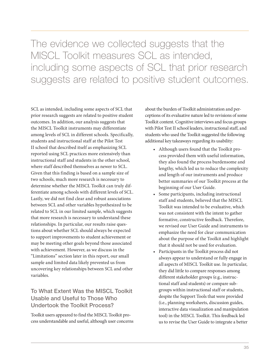The evidence we collected suggests that the MISCL Toolkit measures SCL as intended, including some aspects of SCL that prior research suggests are related to positive student outcomes.

SCL as intended, including some aspects of SCL that prior research suggests are related to positive student outcomes. In addition, our analysis suggests that the MISCL Toolkit instruments may differentiate among levels of SCL in different schools. Specifically, students and instructional staff at the Pilot Test II school that described itself as emphasizing SCL reported using SCL practices more extensively than instructional staff and students in the other school, where staff described themselves as newer to SCL. Given that this finding is based on a sample size of two schools, much more research is necessary to determine whether the MISCL Toolkit can truly differentiate among schools with different levels of SCL. Lastly, we did not find clear and robust associations between SCL and other variables hypothesized to be related to SCL in our limited sample, which suggests that more research is necessary to understand these relationships. In particular, our results raise questions about whether SCL should always be expected to support improvements to student achievement or may be meeting other goals beyond those associated with achievement. However, as we discuss in the "Limitations" section later in this report, our small sample and limited data likely prevented us from uncovering key relationships between SCL and other variables.

#### To What Extent Was the MISCL Toolkit Usable and Useful to Those Who Undertook the Toolkit Process?

Toolkit users appeared to find the MISCL Toolkit process understandable and useful, although user concerns

about the burden of Toolkit administration and perceptions of its evaluative nature led to revisions of some Toolkit content. Cognitive interviews and focus groups with Pilot Test II school leaders, instructional staff, and students who used the Toolkit suggested the following additional key takeaways regarding its usability:

- Although users found that the Toolkit process provided them with useful information, they also found the process burdensome and lengthy, which led us to reduce the complexity and length of our instruments and produce better summaries of our Toolkit process at the beginning of our User Guide.
- Some participants, including instructional staff and students, believed that the MISCL Toolkit was intended to be evaluative, which was not consistent with the intent to gather formative, constructive feedback. Therefore, we revised our User Guide and instruments to emphasize the need for clear communication about the purpose of the Toolkit and highlight that it should not be used for evaluation.
- Participants in the Toolkit process did not always appear to understand or fully engage in all aspects of MISCL Toolkit use. In particular, they did little to compare responses among different stakeholder groups (e.g., instructional staff and students) or compare subgroups within instructional staff or students, despite the Support Tools that were provided (i.e., planning worksheets, discussion guides, interactive data visualization and manipulation tool) in the MISCL Toolkit. This feedback led us to revise the User Guide to integrate a better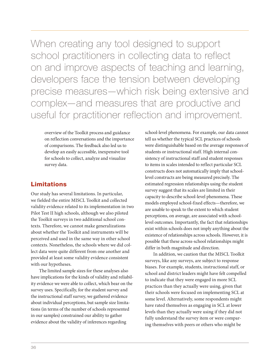When creating any tool designed to support school practitioners in collecting data to reflect on and improve aspects of teaching and learning, developers face the tension between developing precise measures—which risk being extensive and complex—and measures that are productive and useful for practitioner reflection and improvement.

overview of the Toolkit process and guidance on reflection conversations and the importance of comparisons. The feedback also led us to develop an easily accessible, inexpensive tool for schools to collect, analyze and visualize survey data.

#### Limitations

Our study has several limitations. In particular, we fielded the entire MISCL Toolkit and collected validity evidence related to its implementation in two Pilot Test II high schools, although we also piloted the Toolkit surveys in two additional school contexts. Therefore, we cannot make generalizations about whether the Toolkit and instruments will be perceived and used in the same way in other school contexts. Nonetheless, the schools where we did collect data were quite different from one another and provided at least some validity evidence consistent with our hypotheses.

The limited sample sizes for these analyses also have implications for the kinds of validity and reliability evidence we were able to collect, which bear on the survey uses. Specifically, for the student survey and the instructional staff survey, we gathered evidence about individual perceptions, but sample size limitations (in terms of the number of schools represented in our samples) constrained our ability to gather evidence about the validity of inferences regarding

school-level phenomena. For example, our data cannot tell us whether the typical SCL practices of schools were distinguishable based on the average responses of students or instructional staff. High internal consistency of instructional staff and student responses to items in scales intended to reflect particular SCL constructs does not automatically imply that schoollevel constructs are being measured precisely. The estimated regression relationships using the student survey suggest that its scales are limited in their capacity to describe school-level phenomena. These models employed school-fixed effects—therefore, we are unable to speak to the extent to which student perceptions, on average, are associated with schoollevel outcomes. Importantly, the fact that relationships exist within schools does not imply anything about the existence of relationships across schools. However, it is possible that these across-school relationships might differ in both magnitude and direction.

In addition, we caution that the MISCL Toolkit surveys, like any surveys, are subject to response biases. For example, students, instructional staff, or school and district leaders might have felt compelled to indicate that they were engaged in more SCL practices than they actually were using, given that their schools were focused on implementing SCL at some level. Alternatively, some respondents might have rated themselves as engaging in SCL at lower levels than they actually were using if they did not fully understand the survey item or were comparing themselves with peers or others who might be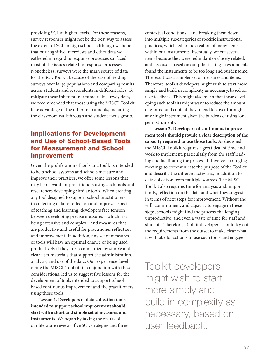providing SCL at higher levels. For these reasons, survey responses might not be the best way to assess the extent of SCL in high schools, although we hope that our cognitive interviews and other data we gathered in regard to response processes surfaced most of the issues related to response processes. Nonetheless, surveys were the main source of data for the SCL Toolkit because of the ease of fielding surveys over large populations and comparing results across students and respondents in different roles. To mitigate these inherent inaccuracies in survey data, we recommended that those using the MISCL Toolkit take advantage of the other instruments, including the classroom walkthrough and student focus group.

#### Implications for Development and Use of School-Based Tools for Measurement and School Improvement

Given the proliferation of tools and toolkits intended to help school systems and schools measure and improve their practices, we offer some lessons that may be relevant for practitioners using such tools and researchers developing similar tools. When creating any tool designed to support school practitioners in collecting data to reflect on and improve aspects of teaching and learning, developers face tension between developing precise measures—which risk being extensive and complex—and measures that are productive and useful for practitioner reflection and improvement. In addition, any set of measures or tools will have an optimal chance of being used productively if they are accompanied by simple and clear user materials that support the administration, analysis, and use of the data. Our experience developing the MISCL Toolkit, in conjunction with these considerations, led us to suggest five lessons for the development of tools intended to support schoolbased continuous improvement and the practitioners using those tools.

**Lesson 1. Developers of data collection tools intended to support school improvement should start with a short and simple set of measures and instruments.** We began by taking the results of our literature review—five SCL strategies and three contextual conditions—and breaking them down into multiple subcategories of specific instructional practices, which led to the creation of many items within our instruments. Eventually, we cut several items because they were redundant or closely related, and because—based on our pilot-testing—respondents found the instruments to be too long and burdensome. The result was a simpler set of measures and items. Therefore, toolkit developers might wish to start more simply and build in complexity as necessary, based on user feedback. This might also mean that those developing such toolkits might want to reduce the amount of ground and content they intend to cover through any single instrument given the burdens of using longer instruments.

**Lesson 2. Developers of continuous improvement tools should provide a clear description of the capacity required to use those tools.** As designed, the MISCL Toolkit requires a great deal of time and work to implement, particularly from the staff leading and facilitating the process. It involves arranging meetings to communicate the purpose of the Toolkit and describe the different activities, in addition to data collection from multiple sources. The MISCL Toolkit also requires time for analysis and, importantly, reflection on the data and what they suggest in terms of next steps for improvement. Without the will, commitment, and capacity to engage in these steps, schools might find the process challenging, unproductive, and even a waste of time for staff and students. Therefore, Toolkit developers should lay out the requirements from the outset to make clear what it will take for schools to use such tools and engage

Toolkit developers might wish to start more simply and build in complexity as necessary, based on user feedback.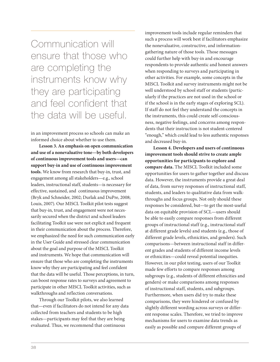Communication will ensure that those who are completing the instruments know why they are participating and feel confident that the data will be useful.

in an improvement process so schools can make an informed choice about whether to use them.

**Lesson 3. An emphasis on open communication and use of a nonevaluative tone—by both developers of continuous improvement tools and users—can support buy-in and use of continuous improvement tools.** We know from research that buy-in, trust, and engagement among all stakeholders—e.g., school leaders, instructional staff, students—is necessary for effective, sustained, and continuous improvement (Bryk and Schneider, 2002; Durlak and DuPre, 2008; Louis, 2007). Our MISCL Toolkit pilot tests suggest that buy-in, trust, and engagement were not necessarily secured when the district and school leaders facilitating Toolkit use were not explicit and frequent in their communication about the process. Therefore, we emphasized the need for such communication early in the User Guide and stressed clear communication about the goal and purpose of the MISCL Toolkit and instruments. We hope that communication will ensure that those who are completing the instruments know why they are participating and feel confident that the data will be useful. Those perceptions, in turn, can boost response rates to surveys and agreement to participate in other MISCL Toolkit activities, such as walkthroughs and reflection conversations.

Through our Toolkit pilots, we also learned that—even if facilitators do not intend for any data collected from teachers and students to be high stakes—participants may feel that they are being evaluated. Thus, we recommend that continuous

improvement tools include regular reminders that such a process will work best if facilitators emphasize the nonevaluative, constructive, and informationgathering nature of those tools. Those messages could further help with buy-in and encourage respondents to provide authentic and honest answers when responding to surveys and participating in other activities. For example, some concepts in the MISCL Toolkit and survey instruments might not be well understood by school staff or students (particularly if the practices are not used in the school or if the school is in the early stages of exploring SCL). If staff do not feel they understand the concepts in the instruments, this could create self-consciousness, negative feelings, and concerns among respondents that their instruction is not student-centered "enough," which could lead to less authentic responses and decreased buy-in.

**Lesson 4. Developers and users of continuous improvement tools should strive to create ample opportunities for participants to explore and compare data.** The MISCL Toolkit included some opportunities for users to gather together and discuss data. However, the instruments provide a great deal of data, from survey responses of instructional staff, students, and leaders to qualitative data from walkthroughs and focus groups. Not only should these responses be considered, but—to get the most-useful data on equitable provision of SCL—users should be able to easily compare responses from different groups of instructional staff (e.g., instructional staff at different grade levels) and students (e.g., those of different grade levels, ethnicities, and genders). Such comparisons—between instructional staff in different grades and students of different income levels or ethnicities—could reveal potential inequities. However, in our pilot testing, users of our Toolkit made few efforts to compare responses among subgroups (e.g., students of different ethnicities and genders) or make comparisons among responses of instructional staff, students, and subgroups. Furthermore, when users did try to make these comparisons, they were hindered or confused by slightly different wording across surveys or different response scales. Therefore, we tried to improve mechanisms for users to examine data trends as easily as possible and compare different groups of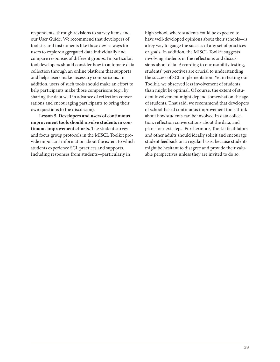respondents, through revisions to survey items and our User Guide. We recommend that developers of toolkits and instruments like these devise ways for users to explore aggregated data individually and compare responses of different groups. In particular, tool developers should consider how to automate data collection through an online platform that supports and helps users make necessary comparisons. In addition, users of such tools should make an effort to help participants make those comparisons (e.g., by sharing the data well in advance of reflection conversations and encouraging participants to bring their own questions to the discussion).

**Lesson 5. Developers and users of continuous improvement tools should involve students in continuous improvement efforts.** The student survey and focus group protocols in the MISCL Toolkit provide important information about the extent to which students experience SCL practices and supports. Including responses from students—particularly in

high school, where students could be expected to have well-developed opinions about their schools—is a key way to gauge the success of any set of practices or goals. In addition, the MISCL Toolkit suggests involving students in the reflections and discussions about data. According to our usability testing, students' perspectives are crucial to understanding the success of SCL implementation. Yet in testing our Toolkit, we observed less involvement of students than might be optimal. Of course, the extent of student involvement might depend somewhat on the age of students. That said, we recommend that developers of school-based continuous improvement tools think about how students can be involved in data collection, reflection conversations about the data, and plans for next steps. Furthermore, Toolkit facilitators and other adults should ideally solicit and encourage student feedback on a regular basis, because students might be hesitant to disagree and provide their valuable perspectives unless they are invited to do so.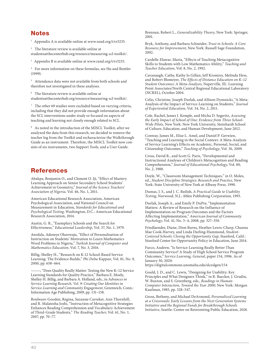#### Notes

<sup>1</sup> Appendix A is available online at [www.rand.org/t/rr3235.](http://www.rand.org/t/rr3235)

 $2$  The literature review is available online at

[studentsatthecenterhub.org/resource/measuring-scl-toolkit/](https://studentsatthecenterhub.org/resource/measuring-scl-toolkit/).

<sup>3</sup> Appendix B is available online at [www.rand.org/t/rr3235.](http://www.rand.org/t/rr3235)

<sup>4</sup> For more information on these formulas, see Hu and Bentler (1999).

<sup>5</sup> Attendance data were not available from both schools and therefore not investigated in these analyses.

 $^{\rm 6}~$  The literature review is available online at [studentsatthecenterhub.org/resource/measuring-scl-toolkit/.](https://studentsatthecenterhub.org/resource/measuring-scl-toolkit/)

 $7$  The other 69 studies were excluded based on varying criteria, including that they did not provide enough information about the SCL interventions under study or focused on aspects of teaching and learning not closely enough related to SCL.

<sup>8</sup> As noted in the introduction of the MISCL Toolkit, after we analyzed the data from this research, we decided to remove the teacher log from the Toolkit and recharacterize the Walkthrough Guide as an instrument. Therefore, the MISCL Toolkit now consists of six instruments, two Support Tools, and a User Guide.

#### References

Abakpa, Benjamin O., and Clement O. Iji, "Effect of Mastery Learning Approach on Senior Secondary School Students' Achievement in Geometry," *Journal of the Science Teachers' Association of Nigeria*, Vol. 46, No. 1, 2011.

American Educational Research Association, American Psychological Association, and National Council on Measurement in Education, *Standards for Educational and Psychological Testing*, Washington, D.C.: American Educational Research Association, 2014.

Austin, G. R., "Exemplary Schools and the Search for Effectiveness," *Educational Leadership*, Vol. 37, No. 1, 1979.

Awofala, Adeneye Olarewaju, "Effect of Personalisation of Instruction on Students' Motivation to Learn Mathematics Word Problems in Nigeria," *Turkish Journal of Computer and Mathematics Education*, Vol. 7, No. 3, 2016.

Billig, Shelley H., "Research on K-12 School-Based Service Learning: The Evidence Builds," *Phi Delta Kappan*, Vol. 81, No. 9, 2000, pp. 658–664.

———, "Does Quality Really Matter: Testing the New K–12 Service Learning Standards for Quality Practice," Barbara E. Moely, Shelley H. Billig, and Barbara A. Holland, eds., in *Advances in Service-Learning Research, Vol. 9: Creating Our Identities in Service-Learning and Community Engagement*, Greenwich, Conn.: Information Age Publishing, 2009, pp. 131–158.

Boulware-Gooden, Regina, Suzanne Carreker, Ann Thornhill, and R. Malatesha Joshi, "Instruction of Metacognitive Strategies Enhances Reading Comprehension and Vocabulary Achievement of Third-Grade Students," *The Reading Teacher*, Vol. 61, No. 1, 2007, pp. 70–77.

Brennan, Robert L., *Generalizability Theory*, New York: Springer, 2001.

Bryk, Anthony, and Barbara Schneider, *Trust in Schools: A Core Resource for Improvement*, New York: Russell Sage Foundation, 2002.

Cardelle-Elawar, Maria, "Effects of Teaching Metacognitive Skills to Students with Low Mathematics Ability," *Teaching and Teacher Education*, Vol. 8, No. 2, 1992.

Cavanaugh, Cathy, Kathy Jo Gillan, Jeff Kromrey, Melinda Hess, and Robert Blomeyer, *The Effects of Distance Education on K–12 Student Outcomes: A Meta-Analysis*, Naperville, Ill.: Learning Point Associates/North Central Regional Educational Laboratory (NCREL), October 2004.

Celio, Christine, Joseph Durlak, and Allison Dymnicki, "A Meta-Analysis of the Impact of Service-Learning on Students," *Journal of Experiential Education*, Vol. 34, No. 2, 2011.

Cole, Rachel, James J. Kemple, and Micha D. Segeritz, *Assessing the Early Impact of School of One: Evidence from Three School-Wide Pilots*, New York: New York University, Steinhardt School of Culture, Education, and Human Development, June 2012.

Conway, James M., Elise L. Amel, and Daniel P. Gerwien, "Teaching and Learning in the Social Context: A Meta-Analysis of Service Learning's Effects on Academic, Personal, Social, and Citizenship Outcomes," *Teaching of Psychology*, Vol. 36, 2009.

Cross, David R., and Scott G. Paris, "Developmental and Instructional Analyses of Children's Metacognition and Reading Comprehension," *Journal of Educational Psychology*, Vol. 80, No. 2, 1988.

Doyle, W., "Classroom Management Techniques," in O. Moles, ed., *Student Discipline Strategies: Research and Practice*, New York: State University of New York at Albany Press, 1990.

Dumas, J. S., and J. C. Redish, *A Practical Guide to Usability Testing*, Norwood, N.J.: Ablex Publishing Corporation, 1993.

Durlak, Joseph A., and Emily P. DuPre, "Implementation Matters: A Review of Research on the Influence of Implementation on Program Outcomes and the Factors Affecting Implementation," *American Journal of Community Psychology*, Vol. 41, No. 3–4, 2008, pp. 327–350.

Friedlaender, Diane, Dion Burns, Heather Lewis-Charp, Channa Mae Cook-Harvey, and Linda Darling-Hammond, *Student-Centered Schools: Closing the Opportunity Gap*, Stanford, Calif.: Stanford Center for Opportunity Policy in Education, June 2014.

Furco, Andrew, "Is Service-Learning Really Better Than Community Service? A Study of High School Service Program Outcomes," *Service Learning, General*, paper 154, 1996. As of January 30, 2020:

<https://digitalcommons.unomaha.edu/slceslgen/154>

Gould, J. D., and C. Lewis, "Designing for Usability: Key Principles and What Designers Think," in R. Baecker, J. Grudin, W. Buxton, and S. Greenberg, eds., *Readings in Human-Computer Interaction, Toward the Year 2000*, New York: Morgan Kaufman, 1985, pp. 528–547.

Gross, Betheny, and Michael DeArmond, *Personalized Learning at a Crossroads: Early Lessons from the Next Generation Systems Initiative and the Regional Funds for Breakthrough Schools Initiative*, Seattle: Center on Reinventing Public Education, 2018.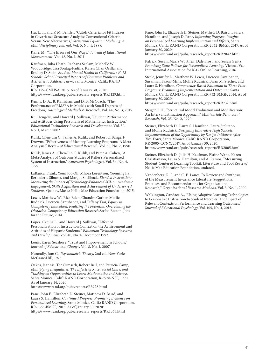Hu, L. T., and P. M. Bentler, "Cutoff Criteria for Fit Indexes in Covariance Structure Analysis: Conventional Criteria Versus New Alternatives," *Structural Equation Modeling: A Multidisciplinary Journal*, Vol. 6, No. 1, 1999.

Kane, M., "The Errors of Our Ways," *Journal of Educational Measurement*, Vol. 48, No. 1, 2011.

Kaufman, Julia Heath, Rachana Seelam, Michelle W. Woodbridge, Lisa Sontag-Padilla, Karen Chan Osilla, and Bradley D. Stein, *Student Mental Health in California's K–12 Schools: School Principal Reports of Common Problems and Activities to Address Them*, Santa Monica, Calif.: RAND Corporation,

RR-1129-CMHSA, 2015. As of January 30, 2020: [https://www.rand.org/pubs/research\\_reports/RR1129.html](https://www.rand.org/pubs/research_reports/RR1129.html)

Kenny, D. A., B. Kaniskan, and D. B. McCoach, "The Performance of RMSEA in Models with Small Degrees of Freedom," *Sociological Methods & Research*, Vol. 44, No. 3, 2015.

Ku, Heng-Yu, and Howard J. Sullivan, "Student Performance and Attitudes Using Personalized Mathematics Instruction," *Educational Technology Research and Development*, Vol. 50, No. 1, March 2002.

Kulik, Chen-Lin C., James A. Kulik, and Robert L. Bangert-Drowns, "Effectiveness of Mastery Learning Programs: A Meta-Analysis," *Review of Educational Research*, Vol. 60, No. 2, 1990.

Kulik, James A., Chen-Lin C. Kulik, and Peter A. Cohen, "A Meta-Analysis of Outcome Studies of Keller's Personalized System of Instruction," *American Psychologist*, Vol. 34, No. 4, 1979.

LaBanca, Frank, Youn Joo Oh, Mhora Lorentson, Yueming Jia, Bernadette Sibuma, and Margot Snellback, *Blended Instruction: Measuring the Impact of Technology-Enhanced SCL on Academic Engagement, Skills Acquisition and Achievement of Underserved Students*, Quincy, Mass.: Nellie Mae Education Foundation, 2015.

Lewis, Matthew W., Rick Eden, Chandra Garber, Mollie Rudnick, Lucrecia Santibanez, and Tiffany Tsai, *Equity in Competency Education: Realizing the Potential, Overcoming the Obstacles, Competency Education Research Series*, Boston: Jobs for the Future, 2014.

López, Cecilia L., and Howard J. Sullivan, "Effect of Personalization of Instruction Context on the Achievement and Attitudes of Hispanic Students," *Education Technology Research and Development*, Vol. 40, No. 4, December 1992.

Louis, Karen Seashore, "Trust and Improvement in Schools," *Journal of Educational Change*, Vol. 8, No. 1, 2007.

Nunnally, Jum C., *Psychometric Theory*, 2nd ed., New York: McGraw-Hill, 1978.

Oakes, Jeannie, Tor Ormseth, Robert Bell, and Patricia Camp, *Multiplying Inequalities: The Effects of Race, Social Class, and Tracking on Opportunities to Learn Mathematics and Science*, Santa Monica, Calif.: RAND Corporation, R-3928-NSF, 1990. As of January 14, 2020:

<https://www.rand.org/pubs/reports/R3928.html>

Pane, John F., Elizabeth D. Steiner, Matthew D. Baird, and Laura S. Hamilton, *Continued Progress: Promising Evidence on Personalized Learning*, Santa Monica, Calif.: RAND Corporation, RR-1365-BMGF, 2015. As of January 30, 2020: [https://www.rand.org/pubs/research\\_reports/RR1365.html](https://www.rand.org/pubs/research_reports/RR1365.html)

Pane, John F., Elizabeth D. Steiner, Matthew D. Baird, Laura S. Hamilton, and Joseph D. Pane, *Informing Progress: Insights on Personalized Learning Implementation and Effects*, Santa Monica, Calif.: RAND Corporation, RR-2042-BMGF, 2017. As of January 30, 2020:

[https://www.rand.org/pubs/research\\_reports/RR2042.html](https://www.rand.org/pubs/research_reports/RR2042.html)

Patrick, Susan, Maria Worthen, Dale Frost, and Susan Gentz, *Promising State Policies for Personalized Learning*, Vienna, Va.: International Association for K-12 Online Learning, 2016.

Steele, Jennifer L., Matthew W. Lewis, Lucrecia Santibañez, Susannah Faxon-Mills, Mollie Rudnick, Brian M. Stecher, and Laura S. Hamilton, *Competency-Based Education in Three Pilot Programs: Examining Implementation and Outcomes*, Santa Monica, Calif.: RAND Corporation, RR-732-BMGF, 2014. As of January 30, 2020:

[https://www.rand.org/pubs/research\\_reports/RR732.html](https://www.rand.org/pubs/research_reports/RR732.html)

Steiger, J. H., "Structural Model Evaluation and Modification: An Interval Estimation Approach," *Multivariate Behavioral Research*, Vol. 25, No. 2, 1990.

Steiner, Elizabeth D., Laura S. Hamilton, Laura Stelitano, and Mollie Rudnick, *Designing Innovative High Schools: Implementation of the Opportunity by Design Initiative After Two Years*, Santa Monica, Calif.: RAND Corporation, RR-2005-CCNY, 2017. As of January 30, 2020: [https://www.rand.org/pubs/research\\_reports/RR2005.html](https://www.rand.org/pubs/research_reports/RR2005.html)

Steiner, Elizabeth D., Julia H. Kaufman, Elaine Wang, Karen Christianson, Laura S. Hamilton, and A. Ramos, "Measuring Student-Centered Learning Toolkit: Literature and Tool Review," Nellie Mae Education Foundation, undated.

Vandenberg, R. J., and C. E. Lance, "A Review and Synthesis of the Measurement Invariance Literature: Suggestions, Practices, and Recommendations for Organizational Research," *Organizational Research Methods*, Vol. 3, No. 1, 2000.

Walkington, Candace A., "Using Adaptive Learning Technologies to Personalize Instruction to Student Interests: The Impact of Relevant Contexts on Performance and Learning Outcomes," *Journal of Educational Psychology*, Vol. 105, No. 4, 2013.